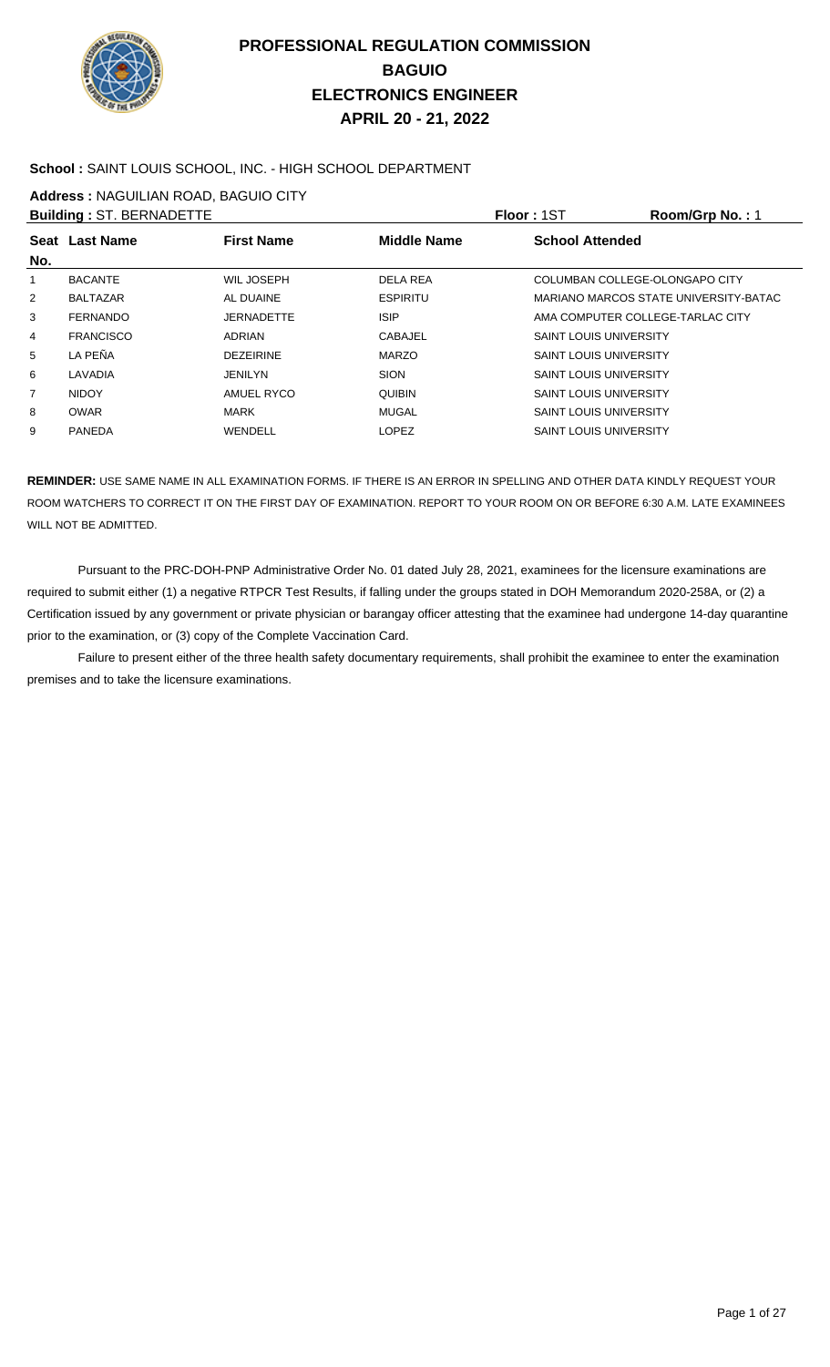

#### **School :** SAINT LOUIS SCHOOL, INC. - HIGH SCHOOL DEPARTMENT

**Address :** NAGUILIAN ROAD, BAGUIO CITY

|                | <b>Building: ST. BERNADETTE</b> |                   |                    | <b>Floor: 1ST</b>                     | Room/Grp No.: 1 |
|----------------|---------------------------------|-------------------|--------------------|---------------------------------------|-----------------|
| No.            | Seat Last Name                  | <b>First Name</b> | <b>Middle Name</b> | <b>School Attended</b>                |                 |
| 1              | <b>BACANTE</b>                  | WIL JOSEPH        | DELA REA           | COLUMBAN COLLEGE-OLONGAPO CITY        |                 |
| $\overline{2}$ | <b>BALTAZAR</b>                 | AL DUAINE         | <b>ESPIRITU</b>    | MARIANO MARCOS STATE UNIVERSITY-BATAC |                 |
| 3              | <b>FERNANDO</b>                 | <b>JERNADETTE</b> | <b>ISIP</b>        | AMA COMPUTER COLLEGE-TARLAC CITY      |                 |
| $\overline{4}$ | <b>FRANCISCO</b>                | <b>ADRIAN</b>     | <b>CABAJEL</b>     | <b>SAINT LOUIS UNIVERSITY</b>         |                 |
| 5              | LA PEÑA                         | <b>DEZEIRINE</b>  | <b>MARZO</b>       | <b>SAINT LOUIS UNIVERSITY</b>         |                 |
| 6              | LAVADIA                         | <b>JENILYN</b>    | <b>SION</b>        | <b>SAINT LOUIS UNIVERSITY</b>         |                 |
| $\overline{7}$ | <b>NIDOY</b>                    | AMUEL RYCO        | <b>QUIBIN</b>      | <b>SAINT LOUIS UNIVERSITY</b>         |                 |
| 8              | <b>OWAR</b>                     | <b>MARK</b>       | MUGAL              | <b>SAINT LOUIS UNIVERSITY</b>         |                 |
| 9              | PANEDA                          | <b>WENDELL</b>    | <b>LOPEZ</b>       | <b>SAINT LOUIS UNIVERSITY</b>         |                 |
|                |                                 |                   |                    |                                       |                 |

**REMINDER:** USE SAME NAME IN ALL EXAMINATION FORMS. IF THERE IS AN ERROR IN SPELLING AND OTHER DATA KINDLY REQUEST YOUR ROOM WATCHERS TO CORRECT IT ON THE FIRST DAY OF EXAMINATION. REPORT TO YOUR ROOM ON OR BEFORE 6:30 A.M. LATE EXAMINEES WILL NOT BE ADMITTED.

Pursuant to the PRC-DOH-PNP Administrative Order No. 01 dated July 28, 2021, examinees for the licensure examinations are required to submit either (1) a negative RTPCR Test Results, if falling under the groups stated in DOH Memorandum 2020-258A, or (2) a Certification issued by any government or private physician or barangay officer attesting that the examinee had undergone 14-day quarantine prior to the examination, or (3) copy of the Complete Vaccination Card.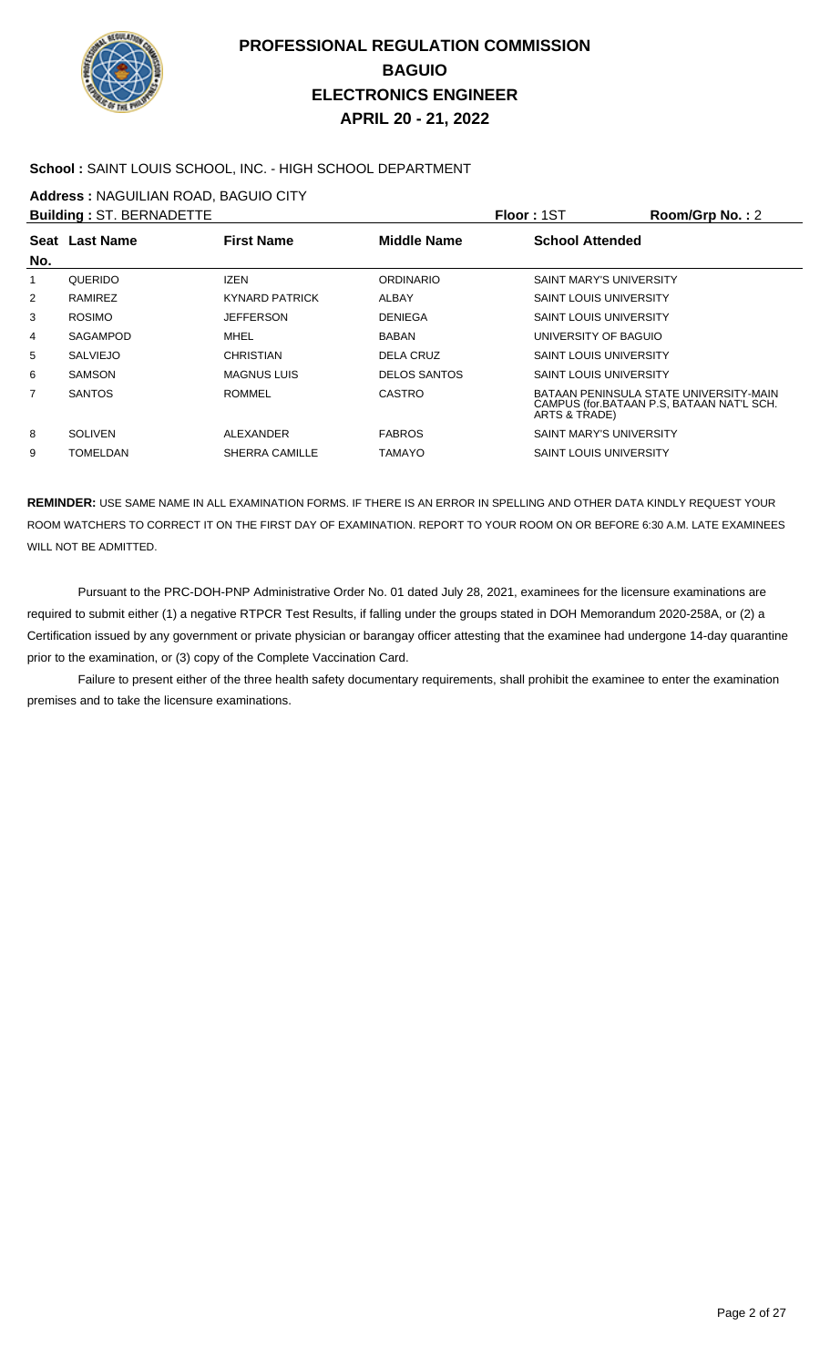

### **School :** SAINT LOUIS SCHOOL, INC. - HIGH SCHOOL DEPARTMENT

**Address :** NAGUILIAN ROAD, BAGUIO CITY

|                | <b>Building: ST. BERNADETTE</b> |                       |                     | <b>Floor: 1ST</b>              | Room/Grp No.: 2                                                                     |
|----------------|---------------------------------|-----------------------|---------------------|--------------------------------|-------------------------------------------------------------------------------------|
| No.            | Seat Last Name                  | <b>First Name</b>     | <b>Middle Name</b>  | <b>School Attended</b>         |                                                                                     |
|                | QUERIDO                         | <b>IZEN</b>           | <b>ORDINARIO</b>    | <b>SAINT MARY'S UNIVERSITY</b> |                                                                                     |
| $\overline{2}$ | RAMIREZ                         | <b>KYNARD PATRICK</b> | ALBAY               | <b>SAINT LOUIS UNIVERSITY</b>  |                                                                                     |
| 3              | <b>ROSIMO</b>                   | <b>JEFFERSON</b>      | <b>DENIEGA</b>      | <b>SAINT LOUIS UNIVERSITY</b>  |                                                                                     |
| 4              | SAGAMPOD                        | MHEL                  | <b>BABAN</b>        | UNIVERSITY OF BAGUIO           |                                                                                     |
| 5              | <b>SALVIEJO</b>                 | <b>CHRISTIAN</b>      | <b>DELA CRUZ</b>    | <b>SAINT LOUIS UNIVERSITY</b>  |                                                                                     |
| 6              | <b>SAMSON</b>                   | <b>MAGNUS LUIS</b>    | <b>DELOS SANTOS</b> | <b>SAINT LOUIS UNIVERSITY</b>  |                                                                                     |
| 7              | <b>SANTOS</b>                   | <b>ROMMEL</b>         | <b>CASTRO</b>       | ARTS & TRADE)                  | BATAAN PENINSULA STATE UNIVERSITY-MAIN<br>CAMPUS (for.BATAAN P.S. BATAAN NAT'L SCH. |
| 8              | <b>SOLIVEN</b>                  | ALEXANDER             | <b>FABROS</b>       | <b>SAINT MARY'S UNIVERSITY</b> |                                                                                     |
| 9              | TOMELDAN                        | <b>SHERRA CAMILLE</b> | TAMAYO              | <b>SAINT LOUIS UNIVERSITY</b>  |                                                                                     |
|                |                                 |                       |                     |                                |                                                                                     |

**REMINDER:** USE SAME NAME IN ALL EXAMINATION FORMS. IF THERE IS AN ERROR IN SPELLING AND OTHER DATA KINDLY REQUEST YOUR ROOM WATCHERS TO CORRECT IT ON THE FIRST DAY OF EXAMINATION. REPORT TO YOUR ROOM ON OR BEFORE 6:30 A.M. LATE EXAMINEES WILL NOT BE ADMITTED.

Pursuant to the PRC-DOH-PNP Administrative Order No. 01 dated July 28, 2021, examinees for the licensure examinations are required to submit either (1) a negative RTPCR Test Results, if falling under the groups stated in DOH Memorandum 2020-258A, or (2) a Certification issued by any government or private physician or barangay officer attesting that the examinee had undergone 14-day quarantine prior to the examination, or (3) copy of the Complete Vaccination Card.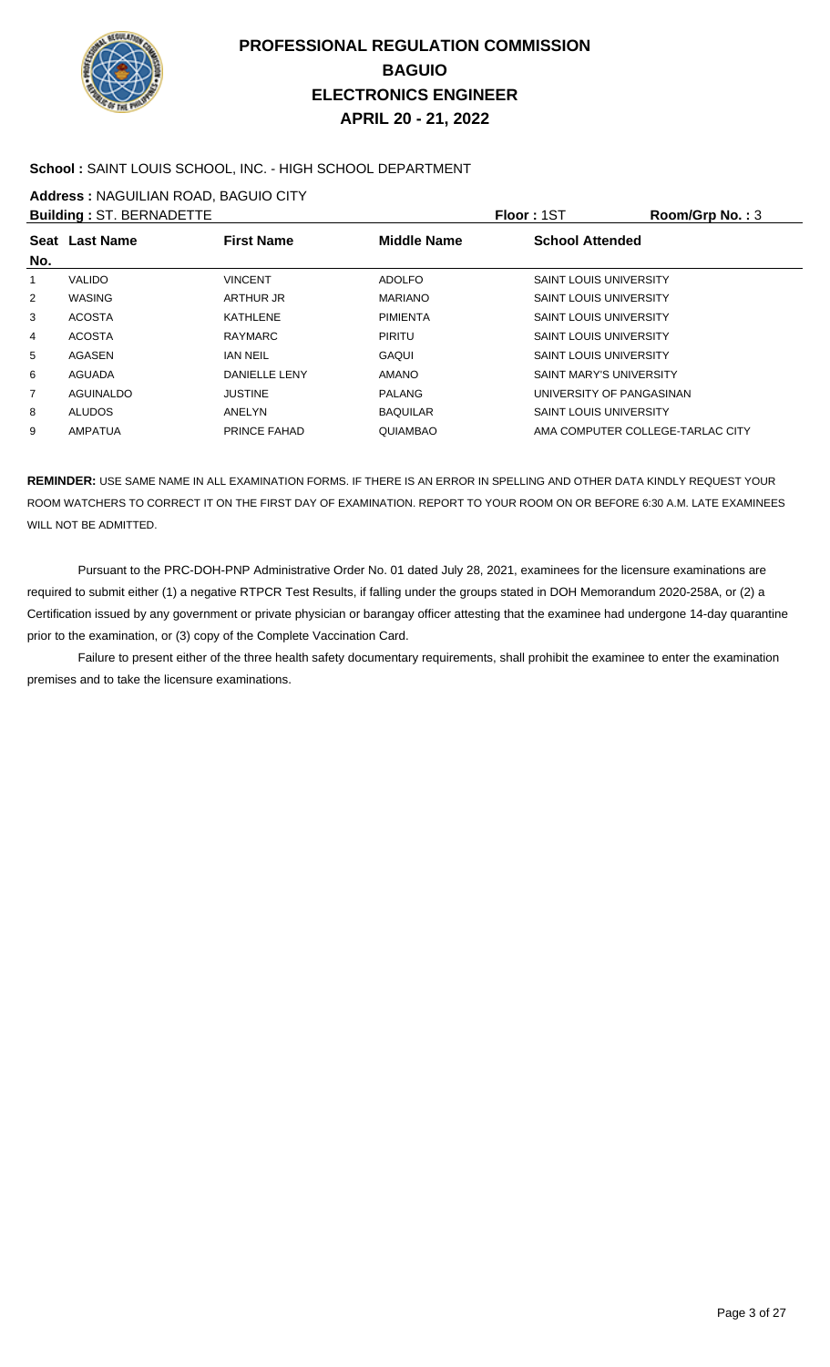

### **School :** SAINT LOUIS SCHOOL, INC. - HIGH SCHOOL DEPARTMENT

**Address :** NAGUILIAN ROAD, BAGUIO CITY

|                | <b>Building: ST. BERNADETTE</b> |                      |                 | <b>Floor: 1ST</b>                | Room/Grp No.: 3 |
|----------------|---------------------------------|----------------------|-----------------|----------------------------------|-----------------|
| No.            | Seat Last Name                  | <b>First Name</b>    | Middle Name     | <b>School Attended</b>           |                 |
|                | <b>VALIDO</b>                   | <b>VINCENT</b>       | <b>ADOLFO</b>   | <b>SAINT LOUIS UNIVERSITY</b>    |                 |
| $\overline{2}$ | <b>WASING</b>                   | ARTHUR JR            | <b>MARIANO</b>  | <b>SAINT LOUIS UNIVERSITY</b>    |                 |
| 3              | <b>ACOSTA</b>                   | KATHLENE             | <b>PIMIENTA</b> | <b>SAINT LOUIS UNIVERSITY</b>    |                 |
| 4              | <b>ACOSTA</b>                   | <b>RAYMARC</b>       | <b>PIRITU</b>   | <b>SAINT LOUIS UNIVERSITY</b>    |                 |
| 5              | <b>AGASEN</b>                   | <b>IAN NEIL</b>      | GAQUI           | <b>SAINT LOUIS UNIVERSITY</b>    |                 |
| 6              | <b>AGUADA</b>                   | <b>DANIELLE LENY</b> | <b>AMANO</b>    | <b>SAINT MARY'S UNIVERSITY</b>   |                 |
| 7              | <b>AGUINALDO</b>                | <b>JUSTINE</b>       | <b>PALANG</b>   | UNIVERSITY OF PANGASINAN         |                 |
| 8              | <b>ALUDOS</b>                   | ANELYN               | <b>BAQUILAR</b> | <b>SAINT LOUIS UNIVERSITY</b>    |                 |
| 9              | <b>AMPATUA</b>                  | <b>PRINCE FAHAD</b>  | <b>QUIAMBAO</b> | AMA COMPUTER COLLEGE-TARLAC CITY |                 |
|                |                                 |                      |                 |                                  |                 |

**REMINDER:** USE SAME NAME IN ALL EXAMINATION FORMS. IF THERE IS AN ERROR IN SPELLING AND OTHER DATA KINDLY REQUEST YOUR ROOM WATCHERS TO CORRECT IT ON THE FIRST DAY OF EXAMINATION. REPORT TO YOUR ROOM ON OR BEFORE 6:30 A.M. LATE EXAMINEES WILL NOT BE ADMITTED.

Pursuant to the PRC-DOH-PNP Administrative Order No. 01 dated July 28, 2021, examinees for the licensure examinations are required to submit either (1) a negative RTPCR Test Results, if falling under the groups stated in DOH Memorandum 2020-258A, or (2) a Certification issued by any government or private physician or barangay officer attesting that the examinee had undergone 14-day quarantine prior to the examination, or (3) copy of the Complete Vaccination Card.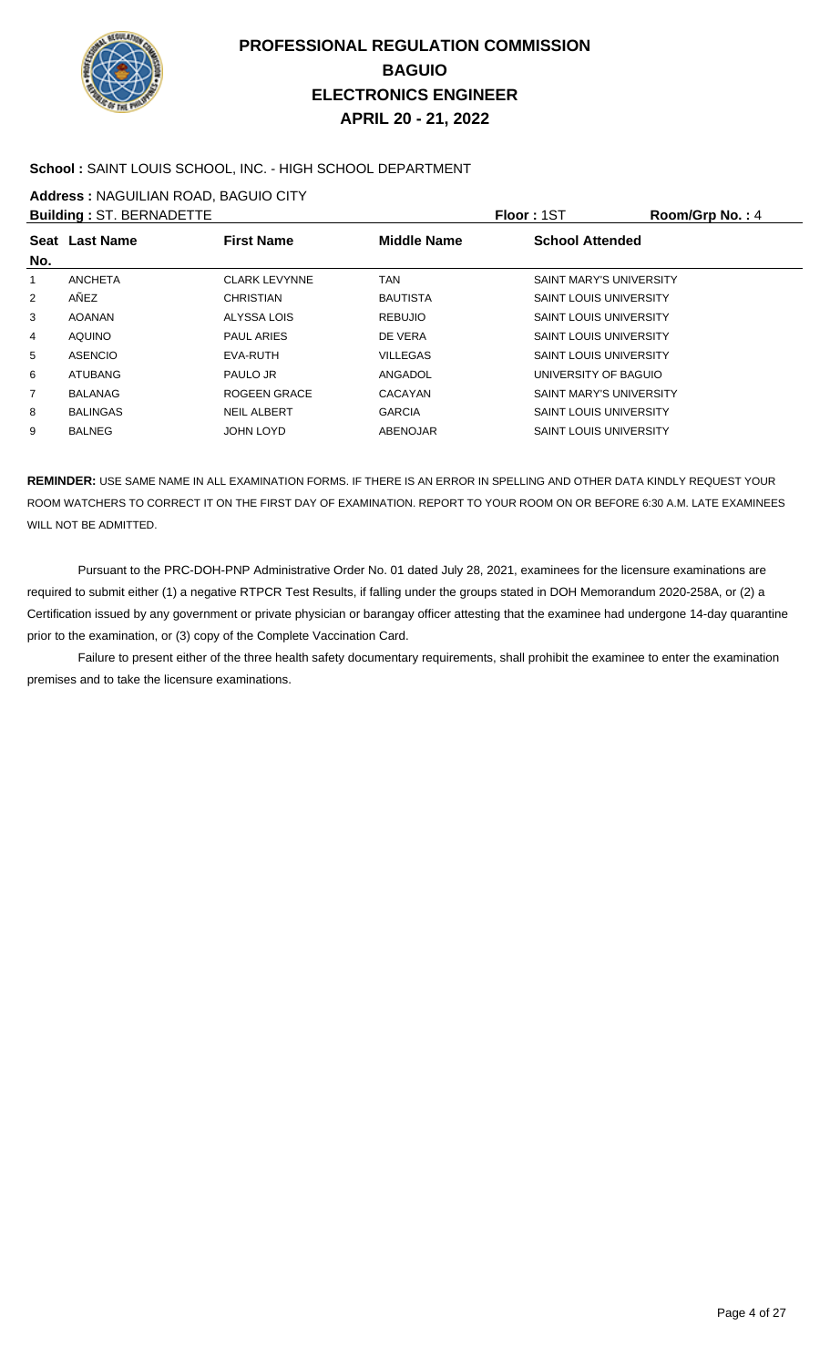

### **School :** SAINT LOUIS SCHOOL, INC. - HIGH SCHOOL DEPARTMENT

**Address :** NAGUILIAN ROAD, BAGUIO CITY

|                | <b>Building: ST. BERNADETTE</b> |                      |                    | <b>Floor: 1ST</b>              | Room/Grp No.: 4 |
|----------------|---------------------------------|----------------------|--------------------|--------------------------------|-----------------|
| No.            | Seat Last Name                  | <b>First Name</b>    | <b>Middle Name</b> | <b>School Attended</b>         |                 |
| 1              | <b>ANCHETA</b>                  | <b>CLARK LEVYNNE</b> | <b>TAN</b>         | <b>SAINT MARY'S UNIVERSITY</b> |                 |
| 2              | AÑEZ                            | <b>CHRISTIAN</b>     | <b>BAUTISTA</b>    | <b>SAINT LOUIS UNIVERSITY</b>  |                 |
| 3              | <b>AOANAN</b>                   | ALYSSA LOIS          | <b>REBUJIO</b>     | <b>SAINT LOUIS UNIVERSITY</b>  |                 |
| $\overline{4}$ | <b>AQUINO</b>                   | <b>PAUL ARIES</b>    | DE VERA            | <b>SAINT LOUIS UNIVERSITY</b>  |                 |
| 5              | <b>ASENCIO</b>                  | EVA-RUTH             | <b>VILLEGAS</b>    | <b>SAINT LOUIS UNIVERSITY</b>  |                 |
| 6              | <b>ATUBANG</b>                  | PAULO JR             | ANGADOL            | UNIVERSITY OF BAGUIO           |                 |
| $\overline{7}$ | <b>BALANAG</b>                  | ROGEEN GRACE         | CACAYAN            | <b>SAINT MARY'S UNIVERSITY</b> |                 |
| 8              | <b>BALINGAS</b>                 | <b>NEIL ALBERT</b>   | <b>GARCIA</b>      | <b>SAINT LOUIS UNIVERSITY</b>  |                 |
| 9              | <b>BALNEG</b>                   | JOHN LOYD            | ABENOJAR           | <b>SAINT LOUIS UNIVERSITY</b>  |                 |
|                |                                 |                      |                    |                                |                 |

**REMINDER:** USE SAME NAME IN ALL EXAMINATION FORMS. IF THERE IS AN ERROR IN SPELLING AND OTHER DATA KINDLY REQUEST YOUR ROOM WATCHERS TO CORRECT IT ON THE FIRST DAY OF EXAMINATION. REPORT TO YOUR ROOM ON OR BEFORE 6:30 A.M. LATE EXAMINEES WILL NOT BE ADMITTED.

 Pursuant to the PRC-DOH-PNP Administrative Order No. 01 dated July 28, 2021, examinees for the licensure examinations are required to submit either (1) a negative RTPCR Test Results, if falling under the groups stated in DOH Memorandum 2020-258A, or (2) a Certification issued by any government or private physician or barangay officer attesting that the examinee had undergone 14-day quarantine prior to the examination, or (3) copy of the Complete Vaccination Card.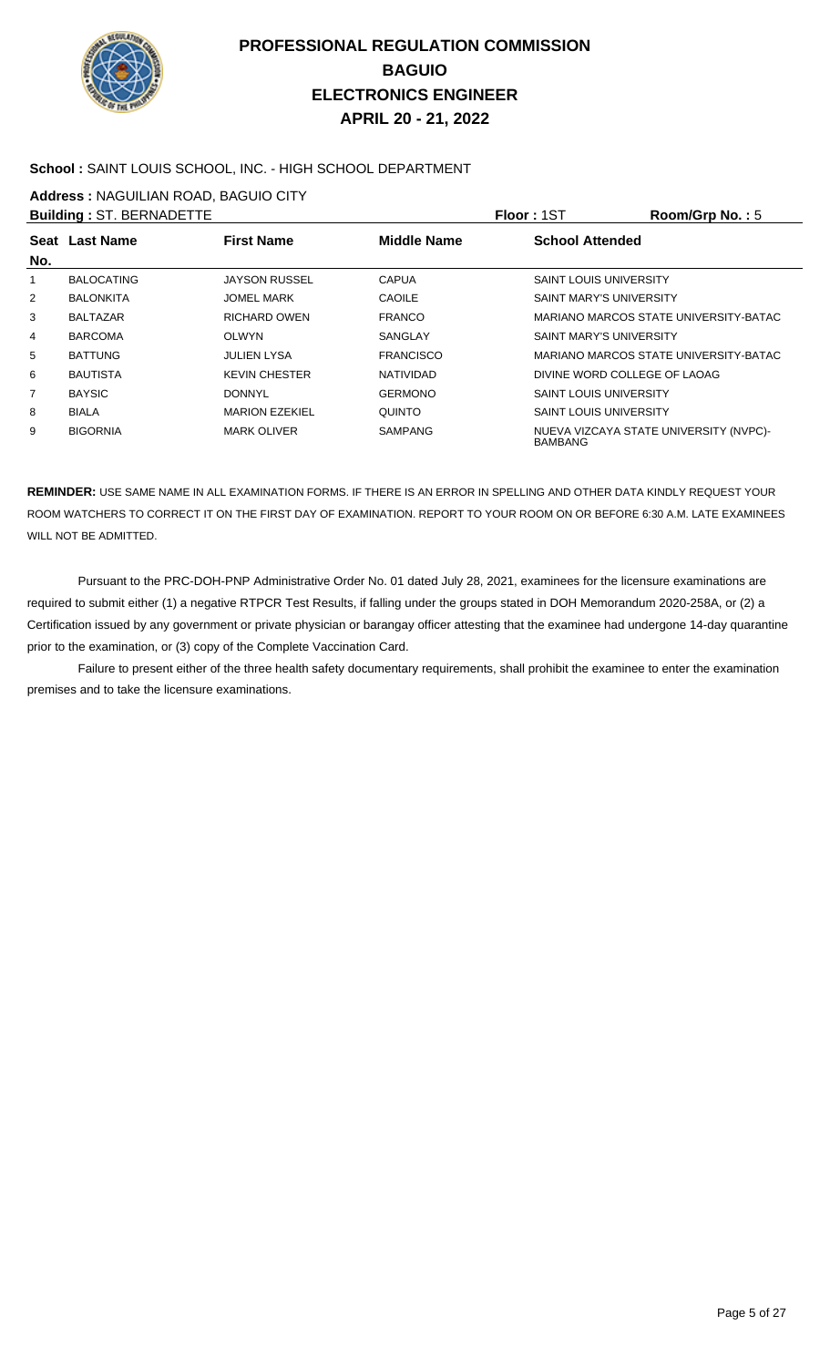

### **School :** SAINT LOUIS SCHOOL, INC. - HIGH SCHOOL DEPARTMENT

**Address :** NAGUILIAN ROAD, BAGUIO CITY

|     | <b>Building: ST. BERNADETTE</b> |                       |                    | <b>Floor: 1ST</b>              | Room/Grp No.: $5$                      |
|-----|---------------------------------|-----------------------|--------------------|--------------------------------|----------------------------------------|
|     | Seat Last Name                  | <b>First Name</b>     | <b>Middle Name</b> | <b>School Attended</b>         |                                        |
| No. |                                 |                       |                    |                                |                                        |
| 1   | <b>BALOCATING</b>               | <b>JAYSON RUSSEL</b>  | <b>CAPUA</b>       | SAINT LOUIS UNIVERSITY         |                                        |
| 2   | <b>BALONKITA</b>                | <b>JOMEL MARK</b>     | <b>CAOILE</b>      | SAINT MARY'S UNIVERSITY        |                                        |
| 3   | <b>BALTAZAR</b>                 | <b>RICHARD OWEN</b>   | <b>FRANCO</b>      |                                | MARIANO MARCOS STATE UNIVERSITY-BATAC  |
| 4   | <b>BARCOMA</b>                  | <b>OLWYN</b>          | <b>SANGLAY</b>     | <b>SAINT MARY'S UNIVERSITY</b> |                                        |
| 5   | <b>BATTUNG</b>                  | <b>JULIEN LYSA</b>    | <b>FRANCISCO</b>   |                                | MARIANO MARCOS STATE UNIVERSITY-BATAC  |
| 6   | <b>BAUTISTA</b>                 | <b>KEVIN CHESTER</b>  | NATIVIDAD          | DIVINE WORD COLLEGE OF LAOAG   |                                        |
| 7   | <b>BAYSIC</b>                   | <b>DONNYL</b>         | <b>GERMONO</b>     | <b>SAINT LOUIS UNIVERSITY</b>  |                                        |
| 8   | <b>BIALA</b>                    | <b>MARION EZEKIEL</b> | QUINTO             | <b>SAINT LOUIS UNIVERSITY</b>  |                                        |
| 9   | <b>BIGORNIA</b>                 | <b>MARK OLIVER</b>    | <b>SAMPANG</b>     | <b>BAMBANG</b>                 | NUEVA VIZCAYA STATE UNIVERSITY (NVPC)- |

**REMINDER:** USE SAME NAME IN ALL EXAMINATION FORMS. IF THERE IS AN ERROR IN SPELLING AND OTHER DATA KINDLY REQUEST YOUR ROOM WATCHERS TO CORRECT IT ON THE FIRST DAY OF EXAMINATION. REPORT TO YOUR ROOM ON OR BEFORE 6:30 A.M. LATE EXAMINEES WILL NOT BE ADMITTED.

 Pursuant to the PRC-DOH-PNP Administrative Order No. 01 dated July 28, 2021, examinees for the licensure examinations are required to submit either (1) a negative RTPCR Test Results, if falling under the groups stated in DOH Memorandum 2020-258A, or (2) a Certification issued by any government or private physician or barangay officer attesting that the examinee had undergone 14-day quarantine prior to the examination, or (3) copy of the Complete Vaccination Card.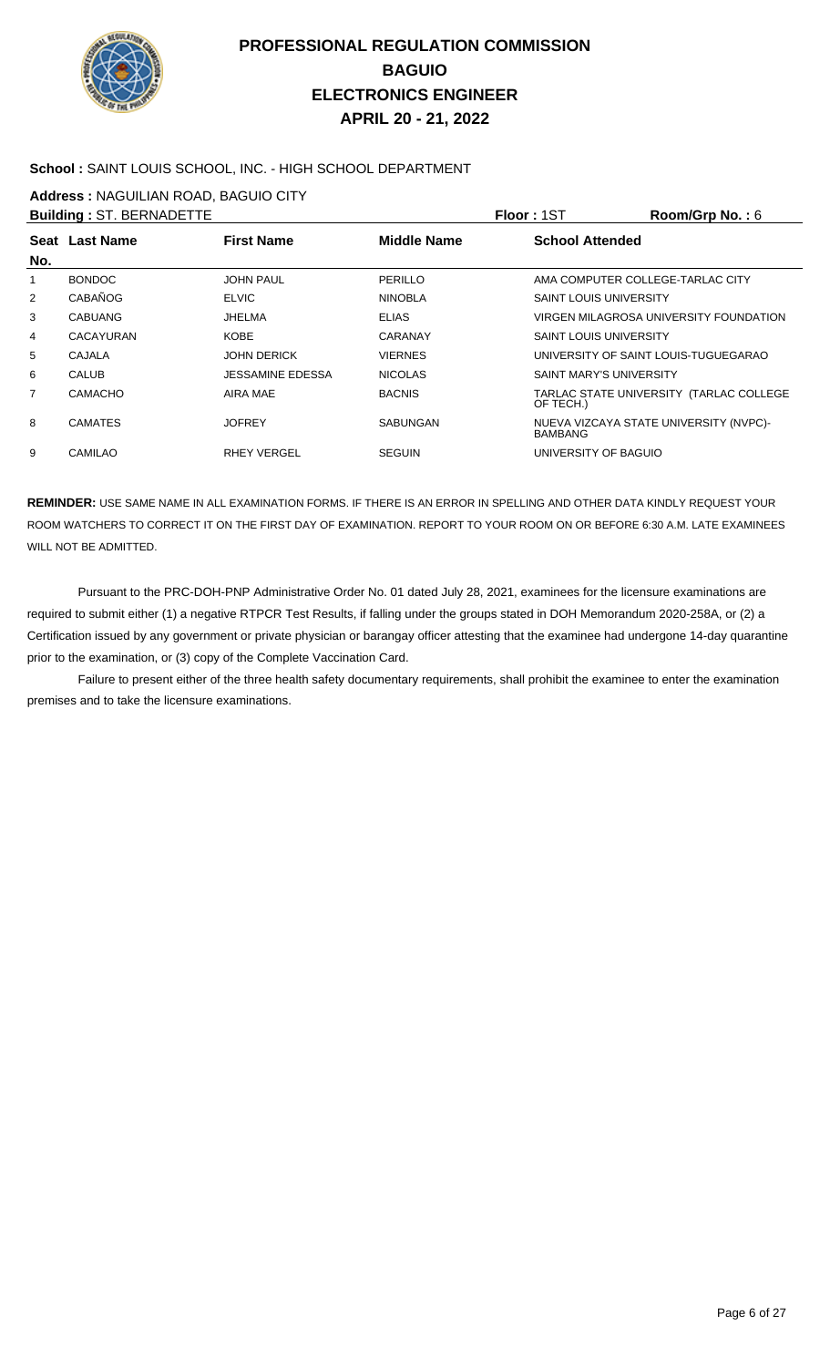

#### **School :** SAINT LOUIS SCHOOL, INC. - HIGH SCHOOL DEPARTMENT

**Address :** NAGUILIAN ROAD, BAGUIO CITY

|                | <b>Building: ST. BERNADETTE</b> |                         |                    | <b>Floor: 1ST</b>                | Room/Grp No.: 6                         |
|----------------|---------------------------------|-------------------------|--------------------|----------------------------------|-----------------------------------------|
|                | Seat Last Name                  | <b>First Name</b>       | <b>Middle Name</b> | <b>School Attended</b>           |                                         |
| No.            |                                 |                         |                    |                                  |                                         |
| 1              | <b>BONDOC</b>                   | <b>JOHN PAUL</b>        | PERILLO            | AMA COMPUTER COLLEGE-TARLAC CITY |                                         |
| $\overline{2}$ | <b>CABAÑOG</b>                  | <b>ELVIC</b>            | <b>NINOBLA</b>     | <b>SAINT LOUIS UNIVERSITY</b>    |                                         |
| 3              | <b>CABUANG</b>                  | JHELMA                  | <b>ELIAS</b>       |                                  | VIRGEN MILAGROSA UNIVERSITY FOUNDATION  |
| 4              | CACAYURAN                       | <b>KOBE</b>             | <b>CARANAY</b>     | <b>SAINT LOUIS UNIVERSITY</b>    |                                         |
| 5              | CAJALA                          | <b>JOHN DERICK</b>      | <b>VIERNES</b>     |                                  | UNIVERSITY OF SAINT LOUIS-TUGUEGARAO    |
| 6              | <b>CALUB</b>                    | <b>JESSAMINE EDESSA</b> | <b>NICOLAS</b>     | <b>SAINT MARY'S UNIVERSITY</b>   |                                         |
| 7              | <b>CAMACHO</b>                  | AIRA MAE                | <b>BACNIS</b>      | OF TECH.)                        | TARLAC STATE UNIVERSITY (TARLAC COLLEGE |
| 8              | <b>CAMATES</b>                  | <b>JOFREY</b>           | SABUNGAN           | BAMBANG                          | NUEVA VIZCAYA STATE UNIVERSITY (NVPC)-  |
| 9              | CAMILAO                         | <b>RHEY VERGEL</b>      | <b>SEGUIN</b>      | UNIVERSITY OF BAGUIO             |                                         |

**REMINDER:** USE SAME NAME IN ALL EXAMINATION FORMS. IF THERE IS AN ERROR IN SPELLING AND OTHER DATA KINDLY REQUEST YOUR ROOM WATCHERS TO CORRECT IT ON THE FIRST DAY OF EXAMINATION. REPORT TO YOUR ROOM ON OR BEFORE 6:30 A.M. LATE EXAMINEES WILL NOT BE ADMITTED.

 Pursuant to the PRC-DOH-PNP Administrative Order No. 01 dated July 28, 2021, examinees for the licensure examinations are required to submit either (1) a negative RTPCR Test Results, if falling under the groups stated in DOH Memorandum 2020-258A, or (2) a Certification issued by any government or private physician or barangay officer attesting that the examinee had undergone 14-day quarantine prior to the examination, or (3) copy of the Complete Vaccination Card.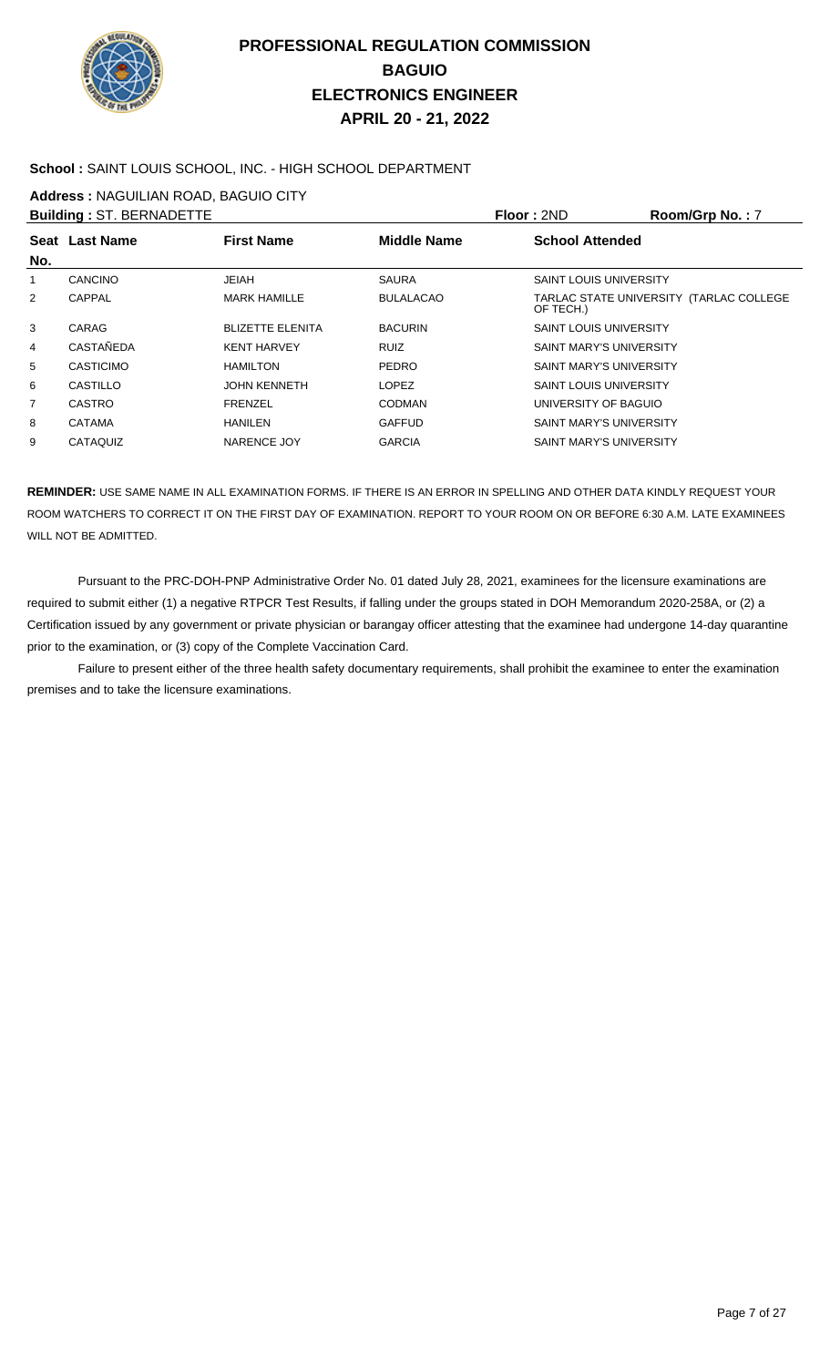

### **School :** SAINT LOUIS SCHOOL, INC. - HIGH SCHOOL DEPARTMENT

**Address :** NAGUILIAN ROAD, BAGUIO CITY

|     | <b>Building: ST. BERNADETTE</b> |                         |                  | Floor: 2ND                     | Room/Grp No.: 7                         |
|-----|---------------------------------|-------------------------|------------------|--------------------------------|-----------------------------------------|
| No. | Seat Last Name                  | <b>First Name</b>       | Middle Name      | <b>School Attended</b>         |                                         |
| 1   | <b>CANCINO</b>                  | <b>JEIAH</b>            | <b>SAURA</b>     | <b>SAINT LOUIS UNIVERSITY</b>  |                                         |
| 2   | CAPPAL                          | <b>MARK HAMILLE</b>     | <b>BULALACAO</b> | OF TECH.)                      | TARLAC STATE UNIVERSITY (TARLAC COLLEGE |
| 3   | CARAG                           | <b>BLIZETTE ELENITA</b> | <b>BACURIN</b>   | <b>SAINT LOUIS UNIVERSITY</b>  |                                         |
| 4   | <b>CASTAÑEDA</b>                | <b>KENT HARVEY</b>      | <b>RUIZ</b>      | <b>SAINT MARY'S UNIVERSITY</b> |                                         |
| 5   | <b>CASTICIMO</b>                | <b>HAMILTON</b>         | <b>PEDRO</b>     | <b>SAINT MARY'S UNIVERSITY</b> |                                         |
| 6   | CASTILLO                        | <b>JOHN KENNETH</b>     | <b>LOPEZ</b>     | <b>SAINT LOUIS UNIVERSITY</b>  |                                         |
| 7   | <b>CASTRO</b>                   | <b>FRENZEL</b>          | <b>CODMAN</b>    | UNIVERSITY OF BAGUIO           |                                         |
| 8   | <b>CATAMA</b>                   | <b>HANILEN</b>          | <b>GAFFUD</b>    | <b>SAINT MARY'S UNIVERSITY</b> |                                         |
| 9   | CATAQUIZ                        | <b>NARENCE JOY</b>      | <b>GARCIA</b>    | <b>SAINT MARY'S UNIVERSITY</b> |                                         |

**REMINDER:** USE SAME NAME IN ALL EXAMINATION FORMS. IF THERE IS AN ERROR IN SPELLING AND OTHER DATA KINDLY REQUEST YOUR ROOM WATCHERS TO CORRECT IT ON THE FIRST DAY OF EXAMINATION. REPORT TO YOUR ROOM ON OR BEFORE 6:30 A.M. LATE EXAMINEES WILL NOT BE ADMITTED.

 Pursuant to the PRC-DOH-PNP Administrative Order No. 01 dated July 28, 2021, examinees for the licensure examinations are required to submit either (1) a negative RTPCR Test Results, if falling under the groups stated in DOH Memorandum 2020-258A, or (2) a Certification issued by any government or private physician or barangay officer attesting that the examinee had undergone 14-day quarantine prior to the examination, or (3) copy of the Complete Vaccination Card.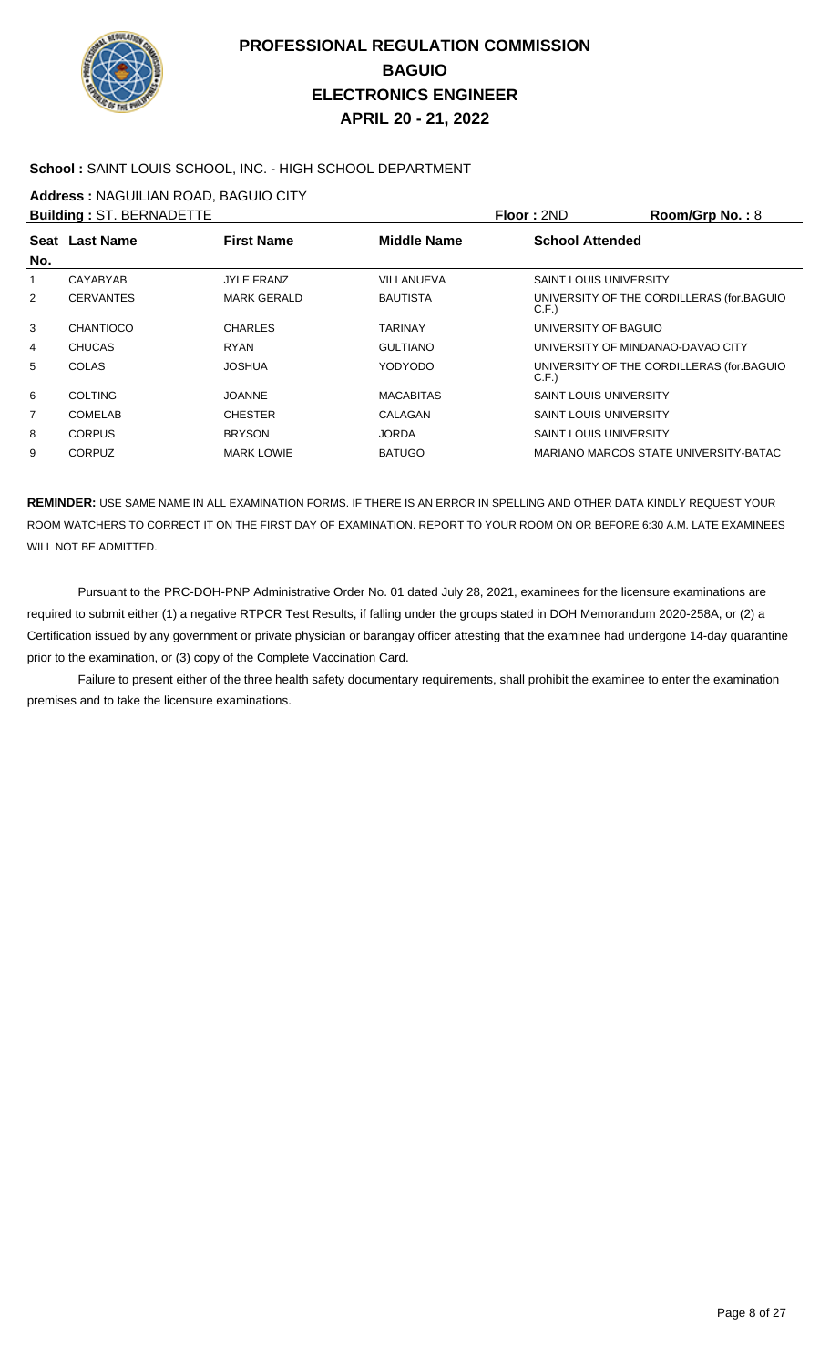

### **School :** SAINT LOUIS SCHOOL, INC. - HIGH SCHOOL DEPARTMENT

**Address :** NAGUILIAN ROAD, BAGUIO CITY

|     | <b>Building: ST. BERNADETTE</b> |                    |                    | Floor: 2ND                        | Room/Grp No.: 8                           |
|-----|---------------------------------|--------------------|--------------------|-----------------------------------|-------------------------------------------|
| No. | Seat Last Name                  | <b>First Name</b>  | <b>Middle Name</b> | <b>School Attended</b>            |                                           |
| 1   | CAYABYAB                        | <b>JYLE FRANZ</b>  | VILLANUEVA         | <b>SAINT LOUIS UNIVERSITY</b>     |                                           |
| 2   | <b>CERVANTES</b>                | <b>MARK GERALD</b> | <b>BAUTISTA</b>    | C.F.                              | UNIVERSITY OF THE CORDILLERAS (for BAGUIO |
| 3   | CHANTIOCO                       | <b>CHARLES</b>     | TARINAY            | UNIVERSITY OF BAGUIO              |                                           |
| 4   | <b>CHUCAS</b>                   | <b>RYAN</b>        | <b>GULTIANO</b>    | UNIVERSITY OF MINDANAO-DAVAO CITY |                                           |
| 5   | COLAS                           | <b>JOSHUA</b>      | YODYODO            | C.F.                              | UNIVERSITY OF THE CORDILLERAS (for BAGUIO |
| 6   | <b>COLTING</b>                  | <b>JOANNE</b>      | <b>MACABITAS</b>   | <b>SAINT LOUIS UNIVERSITY</b>     |                                           |
| 7   | <b>COMELAB</b>                  | <b>CHESTER</b>     | CALAGAN            | <b>SAINT LOUIS UNIVERSITY</b>     |                                           |
| 8   | <b>CORPUS</b>                   | <b>BRYSON</b>      | <b>JORDA</b>       | <b>SAINT LOUIS UNIVERSITY</b>     |                                           |
| 9   | <b>CORPUZ</b>                   | <b>MARK LOWIE</b>  | <b>BATUGO</b>      |                                   | MARIANO MARCOS STATE UNIVERSITY-BATAC     |

**REMINDER:** USE SAME NAME IN ALL EXAMINATION FORMS. IF THERE IS AN ERROR IN SPELLING AND OTHER DATA KINDLY REQUEST YOUR ROOM WATCHERS TO CORRECT IT ON THE FIRST DAY OF EXAMINATION. REPORT TO YOUR ROOM ON OR BEFORE 6:30 A.M. LATE EXAMINEES WILL NOT BE ADMITTED.

 Pursuant to the PRC-DOH-PNP Administrative Order No. 01 dated July 28, 2021, examinees for the licensure examinations are required to submit either (1) a negative RTPCR Test Results, if falling under the groups stated in DOH Memorandum 2020-258A, or (2) a Certification issued by any government or private physician or barangay officer attesting that the examinee had undergone 14-day quarantine prior to the examination, or (3) copy of the Complete Vaccination Card.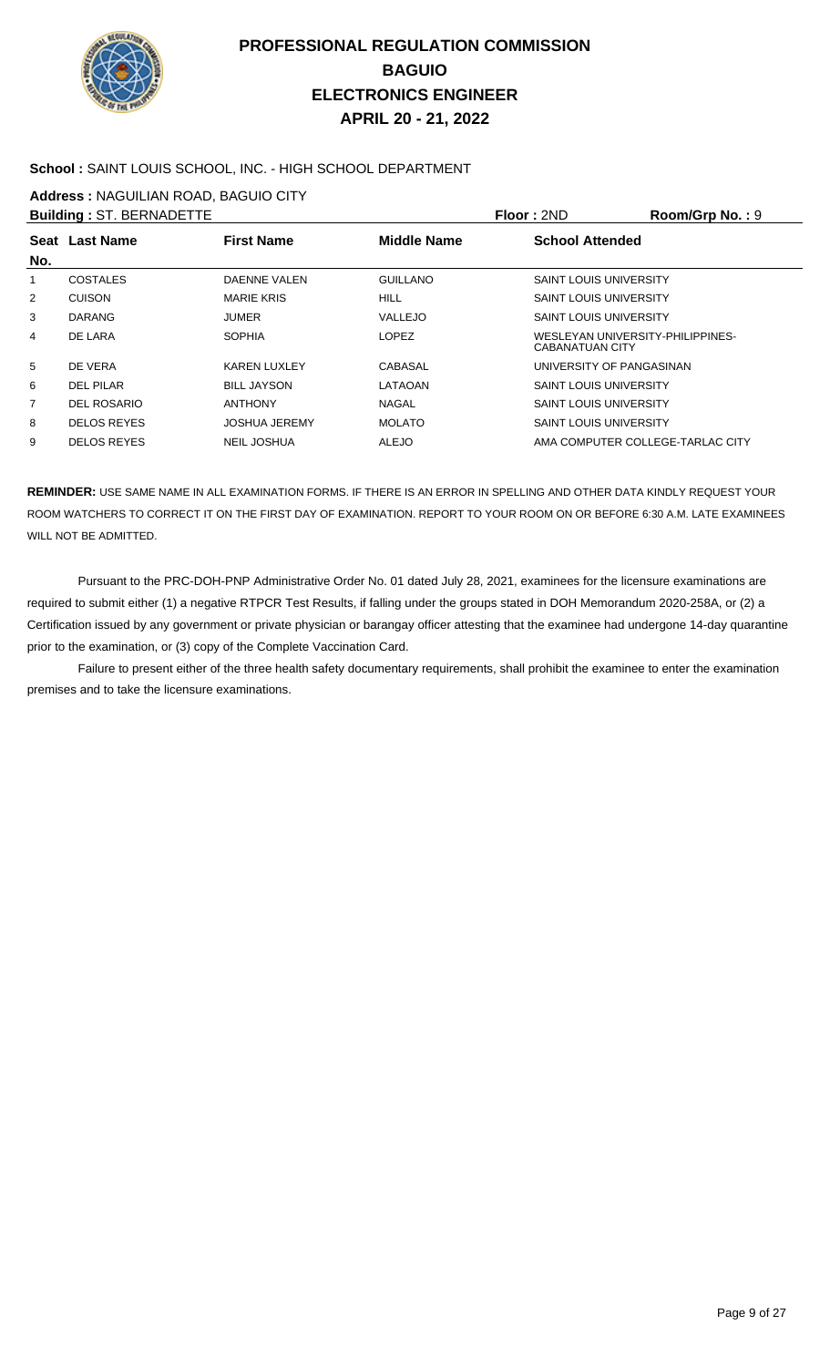

### **School :** SAINT LOUIS SCHOOL, INC. - HIGH SCHOOL DEPARTMENT

**Address :** NAGUILIAN ROAD, BAGUIO CITY

|                | <b>Building: ST. BERNADETTE</b> |                      |                    | Floor: 2ND                                          | Room/Grp No.: 9 |
|----------------|---------------------------------|----------------------|--------------------|-----------------------------------------------------|-----------------|
|                | Seat Last Name                  | <b>First Name</b>    | <b>Middle Name</b> | <b>School Attended</b>                              |                 |
| No.            |                                 |                      |                    |                                                     |                 |
|                | <b>COSTALES</b>                 | DAENNE VALEN         | <b>GUILLANO</b>    | <b>SAINT LOUIS UNIVERSITY</b>                       |                 |
| $\overline{2}$ | <b>CUISON</b>                   | <b>MARIE KRIS</b>    | <b>HILL</b>        | <b>SAINT LOUIS UNIVERSITY</b>                       |                 |
| 3              | <b>DARANG</b>                   | <b>JUMER</b>         | <b>VALLEJO</b>     | <b>SAINT LOUIS UNIVERSITY</b>                       |                 |
| 4              | DE LARA                         | <b>SOPHIA</b>        | LOPEZ              | WESLEYAN UNIVERSITY-PHILIPPINES-<br>CABANATUAN CITY |                 |
| 5              | DE VERA                         | <b>KAREN LUXLEY</b>  | CABASAL            | UNIVERSITY OF PANGASINAN                            |                 |
| 6              | DEL PILAR                       | <b>BILL JAYSON</b>   | LATAOAN            | <b>SAINT LOUIS UNIVERSITY</b>                       |                 |
| 7              | DEL ROSARIO                     | <b>ANTHONY</b>       | <b>NAGAL</b>       | <b>SAINT LOUIS UNIVERSITY</b>                       |                 |
| 8              | <b>DELOS REYES</b>              | <b>JOSHUA JEREMY</b> | <b>MOLATO</b>      | <b>SAINT LOUIS UNIVERSITY</b>                       |                 |
| 9              | <b>DELOS REYES</b>              | <b>NEIL JOSHUA</b>   | ALEJO              | AMA COMPUTER COLLEGE-TARLAC CITY                    |                 |

**REMINDER:** USE SAME NAME IN ALL EXAMINATION FORMS. IF THERE IS AN ERROR IN SPELLING AND OTHER DATA KINDLY REQUEST YOUR ROOM WATCHERS TO CORRECT IT ON THE FIRST DAY OF EXAMINATION. REPORT TO YOUR ROOM ON OR BEFORE 6:30 A.M. LATE EXAMINEES WILL NOT BE ADMITTED.

 Pursuant to the PRC-DOH-PNP Administrative Order No. 01 dated July 28, 2021, examinees for the licensure examinations are required to submit either (1) a negative RTPCR Test Results, if falling under the groups stated in DOH Memorandum 2020-258A, or (2) a Certification issued by any government or private physician or barangay officer attesting that the examinee had undergone 14-day quarantine prior to the examination, or (3) copy of the Complete Vaccination Card.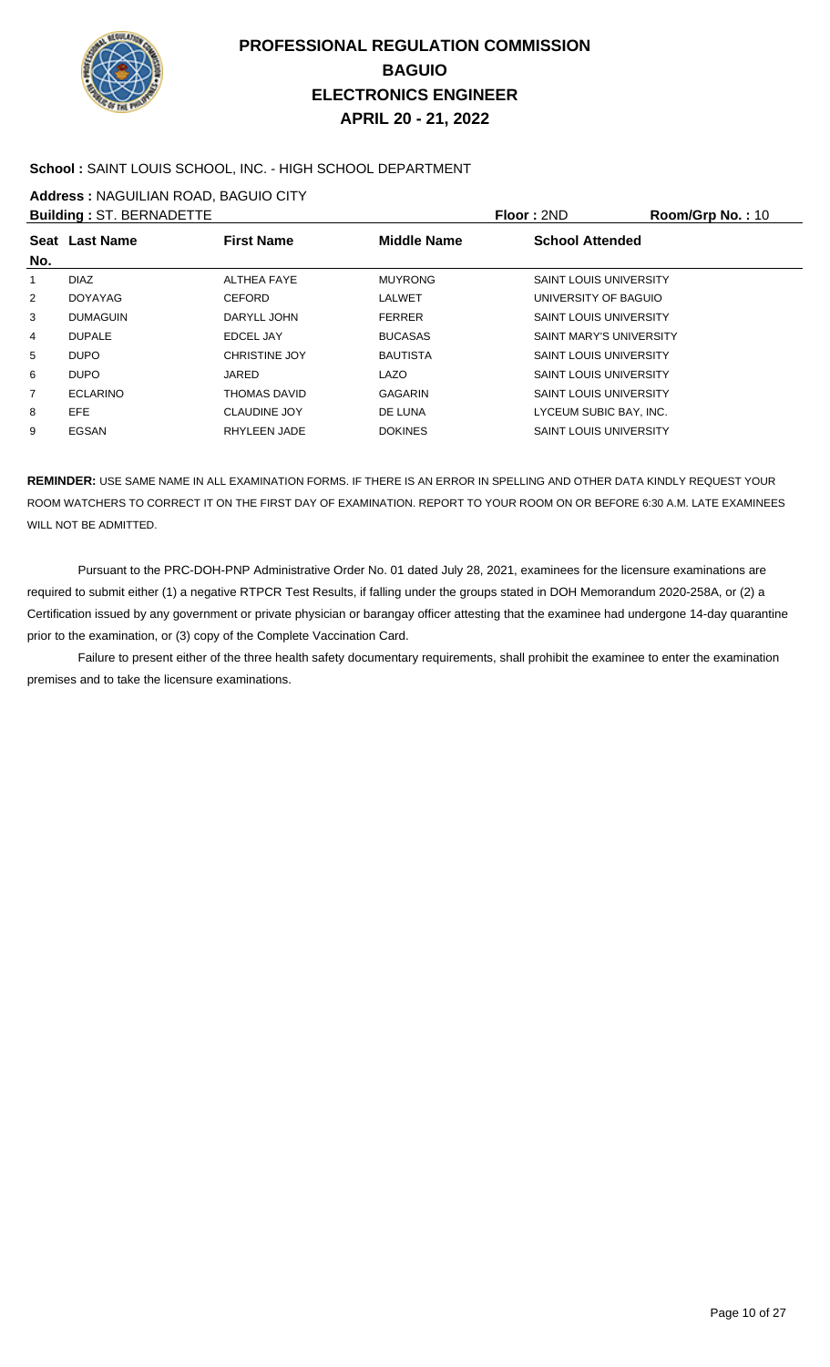

### **School :** SAINT LOUIS SCHOOL, INC. - HIGH SCHOOL DEPARTMENT

**Address :** NAGUILIAN ROAD, BAGUIO CITY

|                | <b>Building: ST. BERNADETTE</b> |                      |                 | Floor: 2ND                     | Room/Grp No.: 10 |
|----------------|---------------------------------|----------------------|-----------------|--------------------------------|------------------|
| No.            | <b>Seat Last Name</b>           | <b>First Name</b>    | Middle Name     | <b>School Attended</b>         |                  |
|                | <b>DIAZ</b>                     | ALTHEA FAYE          | <b>MUYRONG</b>  | <b>SAINT LOUIS UNIVERSITY</b>  |                  |
| $\overline{2}$ | <b>DOYAYAG</b>                  | <b>CEFORD</b>        | LALWET          | UNIVERSITY OF BAGUIO           |                  |
| 3              | <b>DUMAGUIN</b>                 | DARYLL JOHN          | <b>FERRER</b>   | <b>SAINT LOUIS UNIVERSITY</b>  |                  |
| 4              | <b>DUPALE</b>                   | EDCEL JAY            | <b>BUCASAS</b>  | <b>SAINT MARY'S UNIVERSITY</b> |                  |
| 5              | DUPO                            | <b>CHRISTINE JOY</b> | <b>BAUTISTA</b> | <b>SAINT LOUIS UNIVERSITY</b>  |                  |
| 6              | DUPO                            | JARED                | LAZO            | <b>SAINT LOUIS UNIVERSITY</b>  |                  |
| 7              | <b>ECLARINO</b>                 | THOMAS DAVID         | <b>GAGARIN</b>  | <b>SAINT LOUIS UNIVERSITY</b>  |                  |
| 8              | <b>EFE</b>                      | <b>CLAUDINE JOY</b>  | DE LUNA         | LYCEUM SUBIC BAY, INC.         |                  |
| 9              | EGSAN                           | RHYLEEN JADE         | <b>DOKINES</b>  | <b>SAINT LOUIS UNIVERSITY</b>  |                  |
|                |                                 |                      |                 |                                |                  |

**REMINDER:** USE SAME NAME IN ALL EXAMINATION FORMS. IF THERE IS AN ERROR IN SPELLING AND OTHER DATA KINDLY REQUEST YOUR ROOM WATCHERS TO CORRECT IT ON THE FIRST DAY OF EXAMINATION. REPORT TO YOUR ROOM ON OR BEFORE 6:30 A.M. LATE EXAMINEES WILL NOT BE ADMITTED.

 Pursuant to the PRC-DOH-PNP Administrative Order No. 01 dated July 28, 2021, examinees for the licensure examinations are required to submit either (1) a negative RTPCR Test Results, if falling under the groups stated in DOH Memorandum 2020-258A, or (2) a Certification issued by any government or private physician or barangay officer attesting that the examinee had undergone 14-day quarantine prior to the examination, or (3) copy of the Complete Vaccination Card.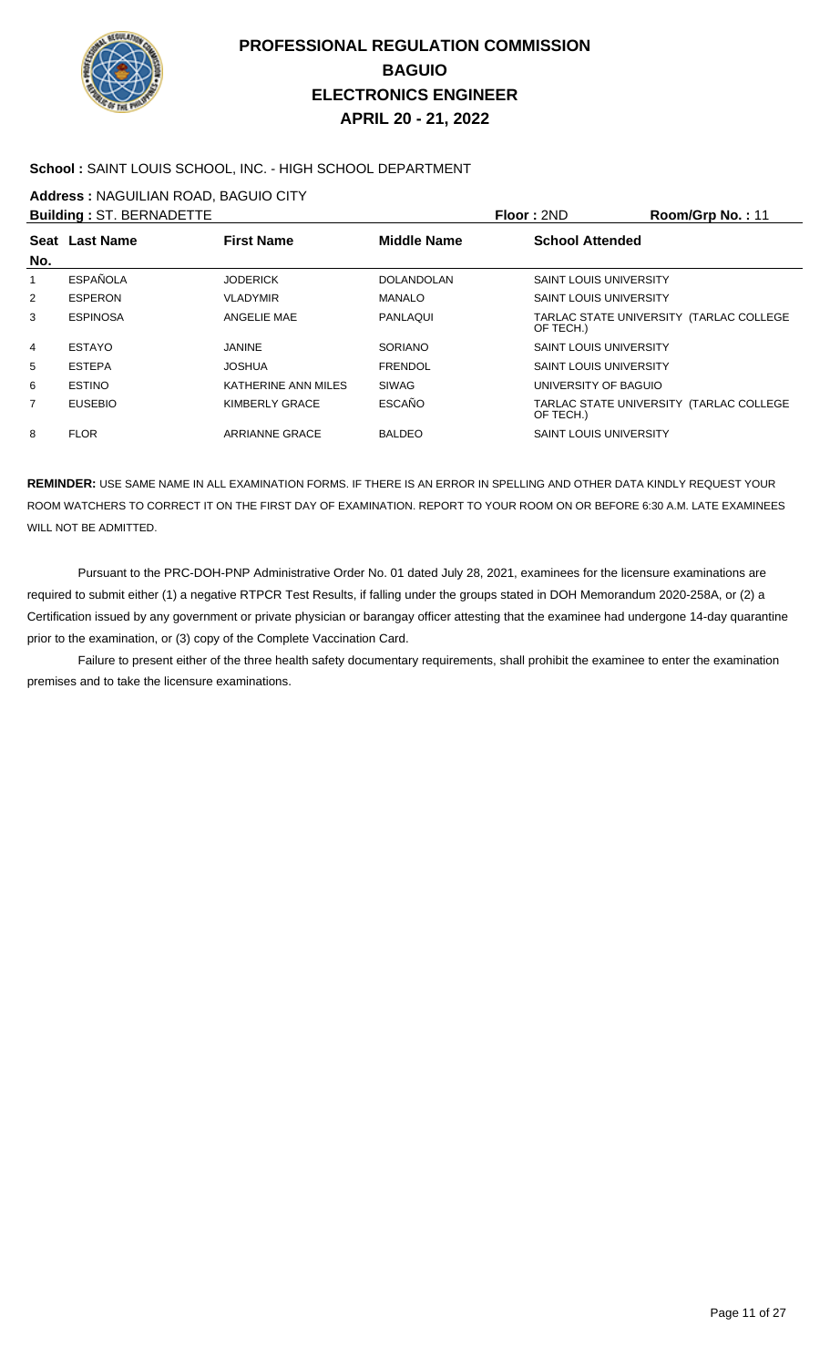

### **School :** SAINT LOUIS SCHOOL, INC. - HIGH SCHOOL DEPARTMENT

**Address :** NAGUILIAN ROAD, BAGUIO CITY

|                | <b>Building: ST. BERNADETTE</b> |                       |                    | Floor: 2ND                    | Room/Grp No.: 11                        |
|----------------|---------------------------------|-----------------------|--------------------|-------------------------------|-----------------------------------------|
| No.            | Seat Last Name                  | <b>First Name</b>     | <b>Middle Name</b> | <b>School Attended</b>        |                                         |
|                | ESPAÑOLA                        | <b>JODERICK</b>       | <b>DOLANDOLAN</b>  | <b>SAINT LOUIS UNIVERSITY</b> |                                         |
| $\overline{2}$ | <b>ESPERON</b>                  | <b>VLADYMIR</b>       | <b>MANALO</b>      | <b>SAINT LOUIS UNIVERSITY</b> |                                         |
| 3              | <b>ESPINOSA</b>                 | ANGELIE MAE           | PANLAQUI           | OF TECH.)                     | TARLAC STATE UNIVERSITY (TARLAC COLLEGE |
| 4              | <b>ESTAYO</b>                   | <b>JANINE</b>         | <b>SORIANO</b>     | <b>SAINT LOUIS UNIVERSITY</b> |                                         |
| 5              | <b>ESTEPA</b>                   | JOSHUA                | <b>FRENDOL</b>     | <b>SAINT LOUIS UNIVERSITY</b> |                                         |
| 6              | <b>ESTINO</b>                   | KATHERINE ANN MILES   | <b>SIWAG</b>       | UNIVERSITY OF BAGUIO          |                                         |
| 7              | <b>EUSEBIO</b>                  | KIMBERLY GRACE        | <b>ESCAÑO</b>      | OF TECH.)                     | TARLAC STATE UNIVERSITY (TARLAC COLLEGE |
| 8              | <b>FLOR</b>                     | <b>ARRIANNE GRACE</b> | <b>BALDEO</b>      | <b>SAINT LOUIS UNIVERSITY</b> |                                         |

**REMINDER:** USE SAME NAME IN ALL EXAMINATION FORMS. IF THERE IS AN ERROR IN SPELLING AND OTHER DATA KINDLY REQUEST YOUR ROOM WATCHERS TO CORRECT IT ON THE FIRST DAY OF EXAMINATION. REPORT TO YOUR ROOM ON OR BEFORE 6:30 A.M. LATE EXAMINEES WILL NOT BE ADMITTED.

 Pursuant to the PRC-DOH-PNP Administrative Order No. 01 dated July 28, 2021, examinees for the licensure examinations are required to submit either (1) a negative RTPCR Test Results, if falling under the groups stated in DOH Memorandum 2020-258A, or (2) a Certification issued by any government or private physician or barangay officer attesting that the examinee had undergone 14-day quarantine prior to the examination, or (3) copy of the Complete Vaccination Card.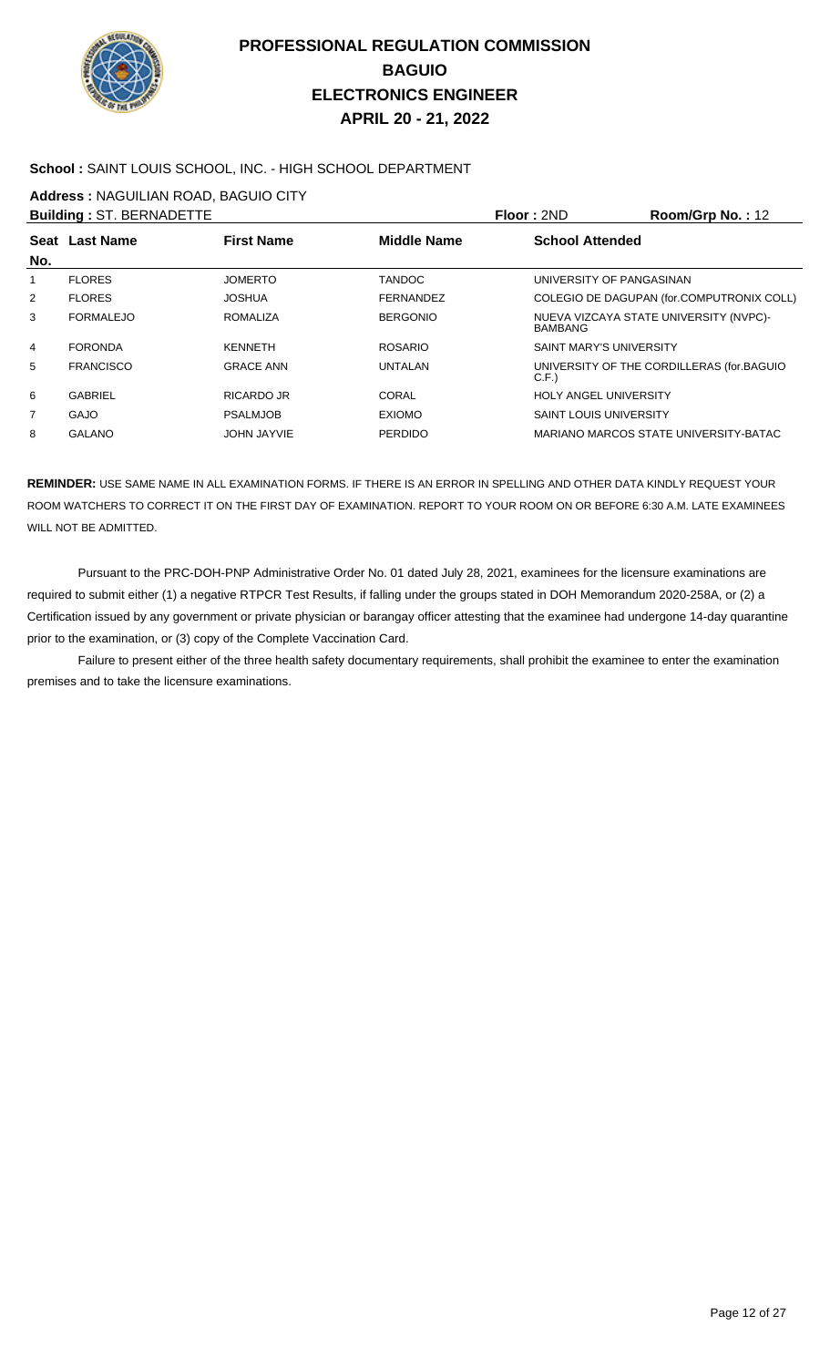

### **School :** SAINT LOUIS SCHOOL, INC. - HIGH SCHOOL DEPARTMENT

**Address :** NAGUILIAN ROAD, BAGUIO CITY

|                | <b>Building: ST. BERNADETTE</b> |                    |                    | Floor: 2ND                     | Room/Grp No.: 12                          |
|----------------|---------------------------------|--------------------|--------------------|--------------------------------|-------------------------------------------|
| No.            | Seat Last Name                  | <b>First Name</b>  | <b>Middle Name</b> | <b>School Attended</b>         |                                           |
| 1              | <b>FLORES</b>                   | <b>JOMERTO</b>     | <b>TANDOC</b>      | UNIVERSITY OF PANGASINAN       |                                           |
| 2              | <b>FLORES</b>                   | <b>JOSHUA</b>      | <b>FERNANDEZ</b>   |                                | COLEGIO DE DAGUPAN (for.COMPUTRONIX COLL) |
| 3              | <b>FORMALEJO</b>                | <b>ROMALIZA</b>    | <b>BERGONIO</b>    | <b>BAMBANG</b>                 | NUEVA VIZCAYA STATE UNIVERSITY (NVPC)-    |
| 4              | <b>FORONDA</b>                  | <b>KENNETH</b>     | <b>ROSARIO</b>     | <b>SAINT MARY'S UNIVERSITY</b> |                                           |
| 5              | <b>FRANCISCO</b>                | <b>GRACE ANN</b>   | <b>UNTALAN</b>     | C.F.                           | UNIVERSITY OF THE CORDILLERAS (for.BAGUIO |
| 6              | <b>GABRIEL</b>                  | RICARDO JR         | CORAL              | <b>HOLY ANGEL UNIVERSITY</b>   |                                           |
| $\overline{7}$ | <b>GAJO</b>                     | <b>PSALMJOB</b>    | <b>EXIOMO</b>      | <b>SAINT LOUIS UNIVERSITY</b>  |                                           |
| 8              | <b>GALANO</b>                   | <b>JOHN JAYVIE</b> | <b>PERDIDO</b>     |                                | MARIANO MARCOS STATE UNIVERSITY-BATAC     |
|                |                                 |                    |                    |                                |                                           |

**REMINDER:** USE SAME NAME IN ALL EXAMINATION FORMS. IF THERE IS AN ERROR IN SPELLING AND OTHER DATA KINDLY REQUEST YOUR ROOM WATCHERS TO CORRECT IT ON THE FIRST DAY OF EXAMINATION. REPORT TO YOUR ROOM ON OR BEFORE 6:30 A.M. LATE EXAMINEES WILL NOT BE ADMITTED.

 Pursuant to the PRC-DOH-PNP Administrative Order No. 01 dated July 28, 2021, examinees for the licensure examinations are required to submit either (1) a negative RTPCR Test Results, if falling under the groups stated in DOH Memorandum 2020-258A, or (2) a Certification issued by any government or private physician or barangay officer attesting that the examinee had undergone 14-day quarantine prior to the examination, or (3) copy of the Complete Vaccination Card.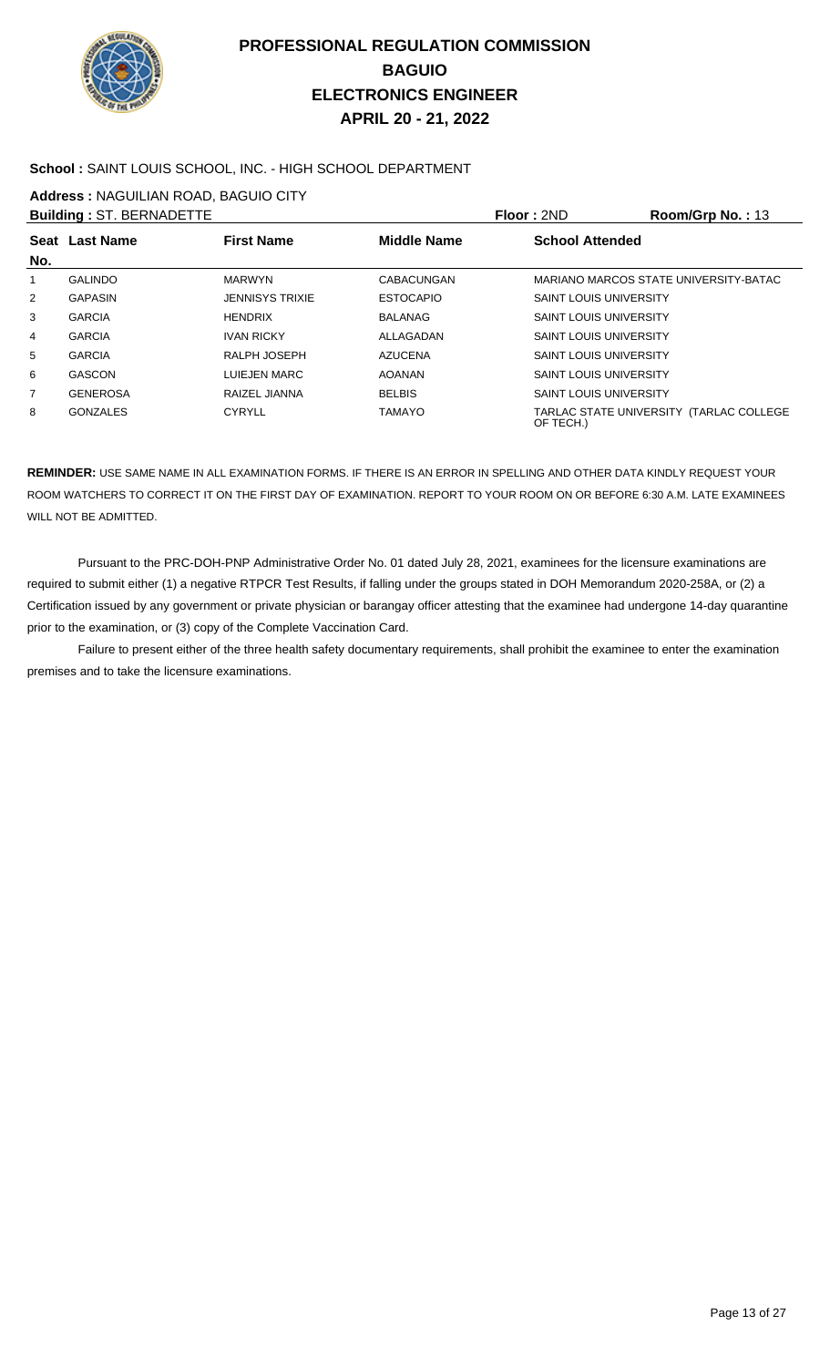

### **School :** SAINT LOUIS SCHOOL, INC. - HIGH SCHOOL DEPARTMENT

**Address :** NAGUILIAN ROAD, BAGUIO CITY

|     | <b>Building: ST. BERNADETTE</b> |                        |                    | <b>Floor: 2ND</b>             | Room/Grp No.: 13                        |
|-----|---------------------------------|------------------------|--------------------|-------------------------------|-----------------------------------------|
| No. | Seat Last Name                  | <b>First Name</b>      | <b>Middle Name</b> | <b>School Attended</b>        |                                         |
| 1   | <b>GALINDO</b>                  | <b>MARWYN</b>          | CABACUNGAN         |                               | MARIANO MARCOS STATE UNIVERSITY-BATAC   |
| 2   | <b>GAPASIN</b>                  | <b>JENNISYS TRIXIE</b> | <b>ESTOCAPIO</b>   | <b>SAINT LOUIS UNIVERSITY</b> |                                         |
| 3   | <b>GARCIA</b>                   | <b>HENDRIX</b>         | BALANAG            | <b>SAINT LOUIS UNIVERSITY</b> |                                         |
| 4   | <b>GARCIA</b>                   | <b>IVAN RICKY</b>      | ALLAGADAN          | <b>SAINT LOUIS UNIVERSITY</b> |                                         |
| 5   | <b>GARCIA</b>                   | RALPH JOSEPH           | <b>AZUCENA</b>     | <b>SAINT LOUIS UNIVERSITY</b> |                                         |
| 6   | <b>GASCON</b>                   | LUIEJEN MARC           | <b>AOANAN</b>      | <b>SAINT LOUIS UNIVERSITY</b> |                                         |
| 7   | <b>GENEROSA</b>                 | RAIZEL JIANNA          | <b>BELBIS</b>      | <b>SAINT LOUIS UNIVERSITY</b> |                                         |
| 8   | <b>GONZALES</b>                 | <b>CYRYLL</b>          | <b>TAMAYO</b>      | OF TECH.)                     | TARLAC STATE UNIVERSITY (TARLAC COLLEGE |

**REMINDER:** USE SAME NAME IN ALL EXAMINATION FORMS. IF THERE IS AN ERROR IN SPELLING AND OTHER DATA KINDLY REQUEST YOUR ROOM WATCHERS TO CORRECT IT ON THE FIRST DAY OF EXAMINATION. REPORT TO YOUR ROOM ON OR BEFORE 6:30 A.M. LATE EXAMINEES WILL NOT BE ADMITTED.

 Pursuant to the PRC-DOH-PNP Administrative Order No. 01 dated July 28, 2021, examinees for the licensure examinations are required to submit either (1) a negative RTPCR Test Results, if falling under the groups stated in DOH Memorandum 2020-258A, or (2) a Certification issued by any government or private physician or barangay officer attesting that the examinee had undergone 14-day quarantine prior to the examination, or (3) copy of the Complete Vaccination Card.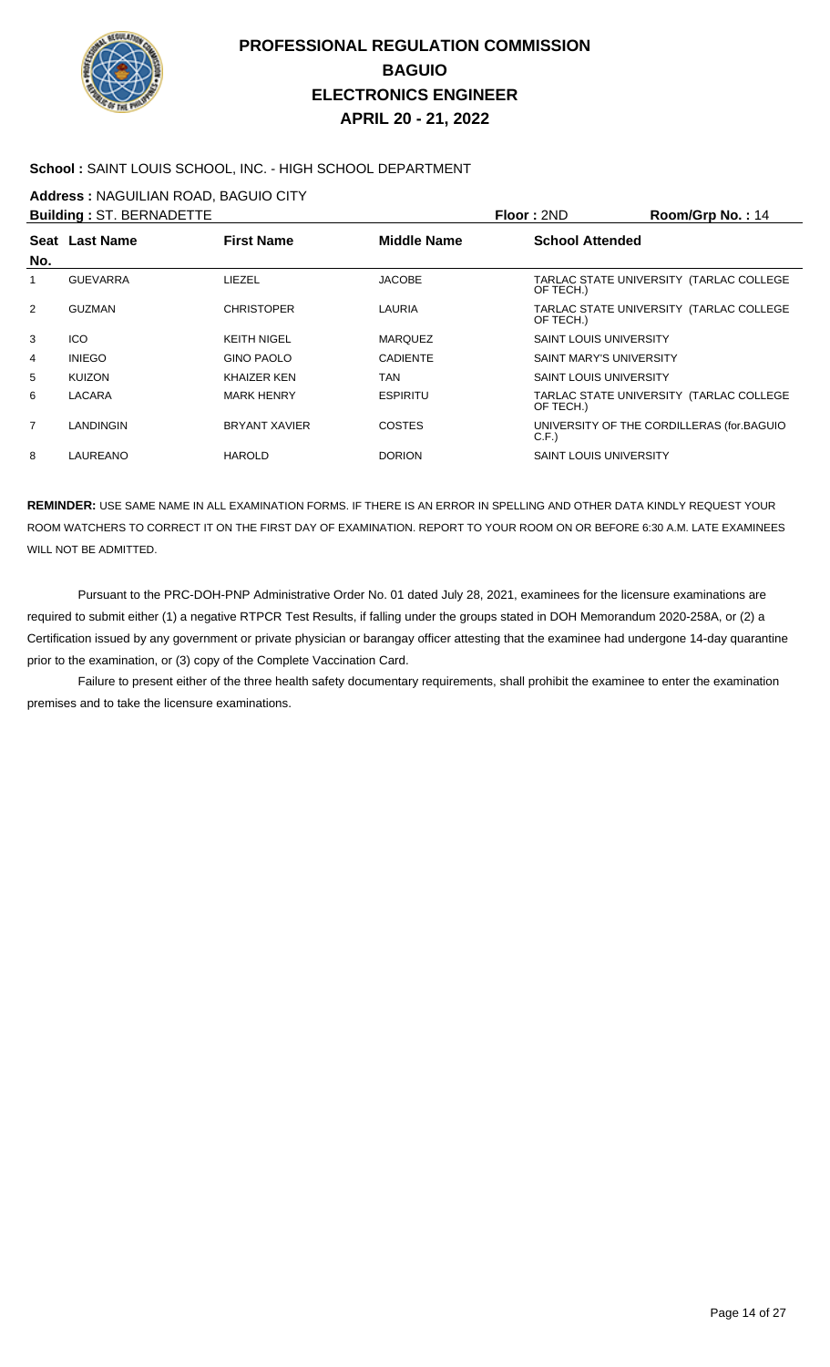

### **School :** SAINT LOUIS SCHOOL, INC. - HIGH SCHOOL DEPARTMENT

**Address :** NAGUILIAN ROAD, BAGUIO CITY

|                | <b>Building: ST. BERNADETTE</b> |                      |                    | Floor: 2ND                     | Room/Grp No.: 14                          |
|----------------|---------------------------------|----------------------|--------------------|--------------------------------|-------------------------------------------|
| No.            | Seat Last Name                  | <b>First Name</b>    | <b>Middle Name</b> | <b>School Attended</b>         |                                           |
|                | <b>GUEVARRA</b>                 | LIEZEL               | <b>JACOBE</b>      | OF TECH.)                      | TARLAC STATE UNIVERSITY (TARLAC COLLEGE   |
| 2              | GUZMAN                          | <b>CHRISTOPER</b>    | LAURIA             | OF TECH.)                      | TARLAC STATE UNIVERSITY (TARLAC COLLEGE   |
| 3              | <b>ICO</b>                      | <b>KEITH NIGEL</b>   | <b>MARQUEZ</b>     | <b>SAINT LOUIS UNIVERSITY</b>  |                                           |
| 4              | <b>INIEGO</b>                   | <b>GINO PAOLO</b>    | <b>CADIENTE</b>    | <b>SAINT MARY'S UNIVERSITY</b> |                                           |
| 5              | <b>KUIZON</b>                   | <b>KHAIZER KEN</b>   | TAN                | <b>SAINT LOUIS UNIVERSITY</b>  |                                           |
| 6              | <b>LACARA</b>                   | <b>MARK HENRY</b>    | <b>ESPIRITU</b>    | OF TECH.)                      | TARLAC STATE UNIVERSITY (TARLAC COLLEGE   |
| $\overline{7}$ | LANDINGIN                       | <b>BRYANT XAVIER</b> | <b>COSTES</b>      | C.F.                           | UNIVERSITY OF THE CORDILLERAS (for BAGUIO |
| 8              | LAUREANO                        | <b>HAROLD</b>        | <b>DORION</b>      | <b>SAINT LOUIS UNIVERSITY</b>  |                                           |

**REMINDER:** USE SAME NAME IN ALL EXAMINATION FORMS. IF THERE IS AN ERROR IN SPELLING AND OTHER DATA KINDLY REQUEST YOUR ROOM WATCHERS TO CORRECT IT ON THE FIRST DAY OF EXAMINATION. REPORT TO YOUR ROOM ON OR BEFORE 6:30 A.M. LATE EXAMINEES WILL NOT BE ADMITTED.

 Pursuant to the PRC-DOH-PNP Administrative Order No. 01 dated July 28, 2021, examinees for the licensure examinations are required to submit either (1) a negative RTPCR Test Results, if falling under the groups stated in DOH Memorandum 2020-258A, or (2) a Certification issued by any government or private physician or barangay officer attesting that the examinee had undergone 14-day quarantine prior to the examination, or (3) copy of the Complete Vaccination Card.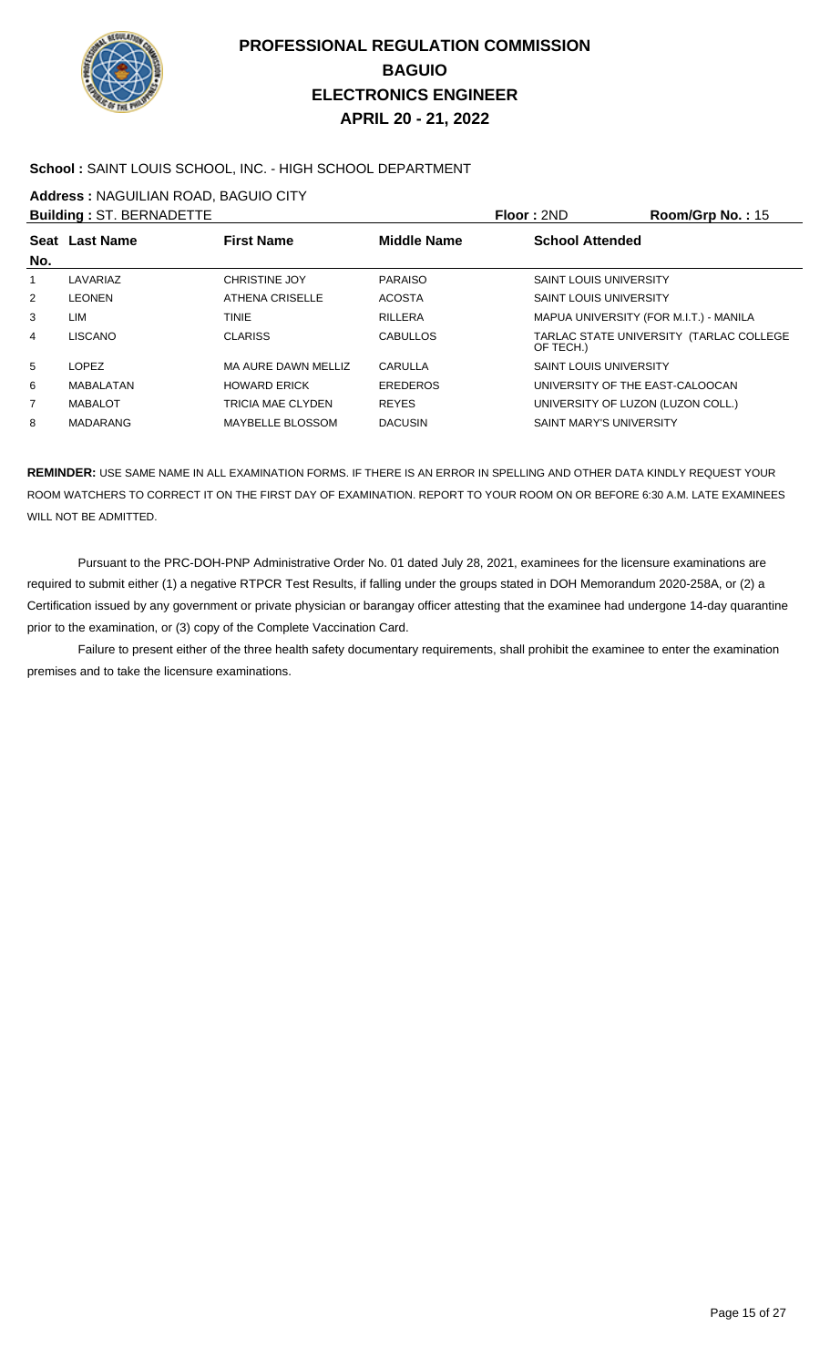

### **School :** SAINT LOUIS SCHOOL, INC. - HIGH SCHOOL DEPARTMENT

**Address :** NAGUILIAN ROAD, BAGUIO CITY

|     | <b>Building: ST. BERNADETTE</b> |                        |                    | Floor: 2ND                             | Room/Grp No.: 15                        |
|-----|---------------------------------|------------------------|--------------------|----------------------------------------|-----------------------------------------|
| No. | Seat Last Name                  | <b>First Name</b>      | <b>Middle Name</b> | <b>School Attended</b>                 |                                         |
|     | LAVARIAZ                        | <b>CHRISTINE JOY</b>   | <b>PARAISO</b>     | <b>SAINT LOUIS UNIVERSITY</b>          |                                         |
| 2   | <b>LEONEN</b>                   | <b>ATHENA CRISELLE</b> | <b>ACOSTA</b>      | <b>SAINT LOUIS UNIVERSITY</b>          |                                         |
| 3   | LIM                             | <b>TINIE</b>           | <b>RILLERA</b>     | MAPUA UNIVERSITY (FOR M.I.T.) - MANILA |                                         |
| 4   | <b>LISCANO</b>                  | <b>CLARISS</b>         | <b>CABULLOS</b>    | OF TECH.)                              | TARLAC STATE UNIVERSITY (TARLAC COLLEGE |
| 5   | <b>LOPEZ</b>                    | MA AURE DAWN MELLIZ    | CARULLA            | <b>SAINT LOUIS UNIVERSITY</b>          |                                         |
| 6   | MABALATAN                       | <b>HOWARD ERICK</b>    | <b>EREDEROS</b>    | UNIVERSITY OF THE EAST-CALOOCAN        |                                         |
| 7   | <b>MABALOT</b>                  | TRICIA MAE CLYDEN      | <b>REYES</b>       | UNIVERSITY OF LUZON (LUZON COLL.)      |                                         |
| 8   | <b>MADARANG</b>                 | MAYBELLE BLOSSOM       | <b>DACUSIN</b>     | <b>SAINT MARY'S UNIVERSITY</b>         |                                         |

**REMINDER:** USE SAME NAME IN ALL EXAMINATION FORMS. IF THERE IS AN ERROR IN SPELLING AND OTHER DATA KINDLY REQUEST YOUR ROOM WATCHERS TO CORRECT IT ON THE FIRST DAY OF EXAMINATION. REPORT TO YOUR ROOM ON OR BEFORE 6:30 A.M. LATE EXAMINEES WILL NOT BE ADMITTED.

 Pursuant to the PRC-DOH-PNP Administrative Order No. 01 dated July 28, 2021, examinees for the licensure examinations are required to submit either (1) a negative RTPCR Test Results, if falling under the groups stated in DOH Memorandum 2020-258A, or (2) a Certification issued by any government or private physician or barangay officer attesting that the examinee had undergone 14-day quarantine prior to the examination, or (3) copy of the Complete Vaccination Card.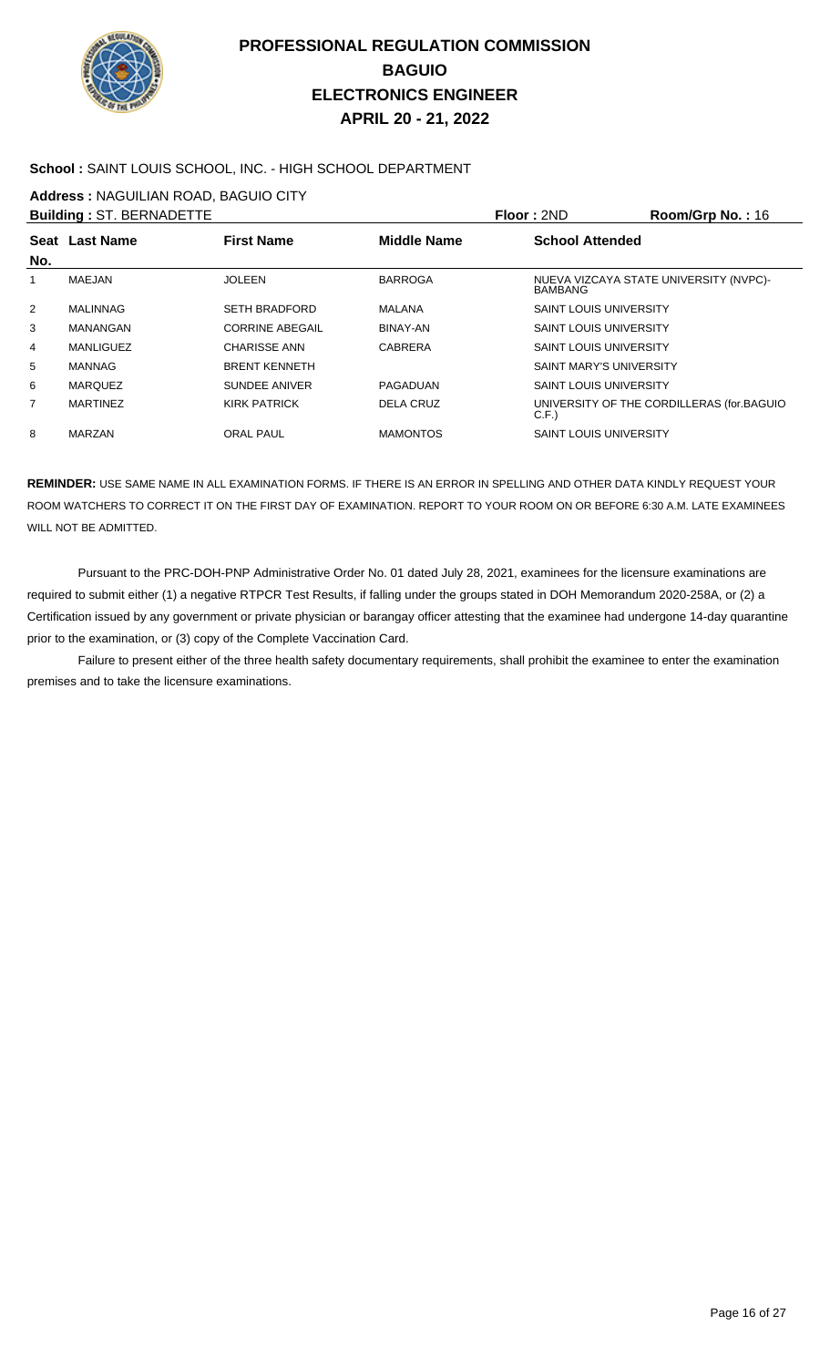

### **School :** SAINT LOUIS SCHOOL, INC. - HIGH SCHOOL DEPARTMENT

**Address :** NAGUILIAN ROAD, BAGUIO CITY

|     | <b>Building: ST. BERNADETTE</b> |                        |                    | Floor: 2ND                     | Room/Grp No.: $16$                        |
|-----|---------------------------------|------------------------|--------------------|--------------------------------|-------------------------------------------|
| No. | <b>Seat Last Name</b>           | <b>First Name</b>      | <b>Middle Name</b> | <b>School Attended</b>         |                                           |
| 1   | <b>MAEJAN</b>                   | <b>JOLEEN</b>          | <b>BARROGA</b>     | <b>BAMBANG</b>                 | NUEVA VIZCAYA STATE UNIVERSITY (NVPC)-    |
| 2   | <b>MALINNAG</b>                 | <b>SETH BRADFORD</b>   | MALANA             | <b>SAINT LOUIS UNIVERSITY</b>  |                                           |
| 3   | <b>MANANGAN</b>                 | <b>CORRINE ABEGAIL</b> | <b>BINAY-AN</b>    | <b>SAINT LOUIS UNIVERSITY</b>  |                                           |
| 4   | MANLIGUEZ                       | <b>CHARISSE ANN</b>    | <b>CABRERA</b>     | <b>SAINT LOUIS UNIVERSITY</b>  |                                           |
| 5   | <b>MANNAG</b>                   | <b>BRENT KENNETH</b>   |                    | <b>SAINT MARY'S UNIVERSITY</b> |                                           |
| 6   | <b>MARQUEZ</b>                  | SUNDEE ANIVER          | PAGADUAN           | <b>SAINT LOUIS UNIVERSITY</b>  |                                           |
| 7   | <b>MARTINEZ</b>                 | <b>KIRK PATRICK</b>    | <b>DELA CRUZ</b>   | C.F.                           | UNIVERSITY OF THE CORDILLERAS (for.BAGUIO |
| 8   | <b>MARZAN</b>                   | <b>ORAL PAUL</b>       | <b>MAMONTOS</b>    | <b>SAINT LOUIS UNIVERSITY</b>  |                                           |

**REMINDER:** USE SAME NAME IN ALL EXAMINATION FORMS. IF THERE IS AN ERROR IN SPELLING AND OTHER DATA KINDLY REQUEST YOUR ROOM WATCHERS TO CORRECT IT ON THE FIRST DAY OF EXAMINATION. REPORT TO YOUR ROOM ON OR BEFORE 6:30 A.M. LATE EXAMINEES WILL NOT BE ADMITTED.

 Pursuant to the PRC-DOH-PNP Administrative Order No. 01 dated July 28, 2021, examinees for the licensure examinations are required to submit either (1) a negative RTPCR Test Results, if falling under the groups stated in DOH Memorandum 2020-258A, or (2) a Certification issued by any government or private physician or barangay officer attesting that the examinee had undergone 14-day quarantine prior to the examination, or (3) copy of the Complete Vaccination Card.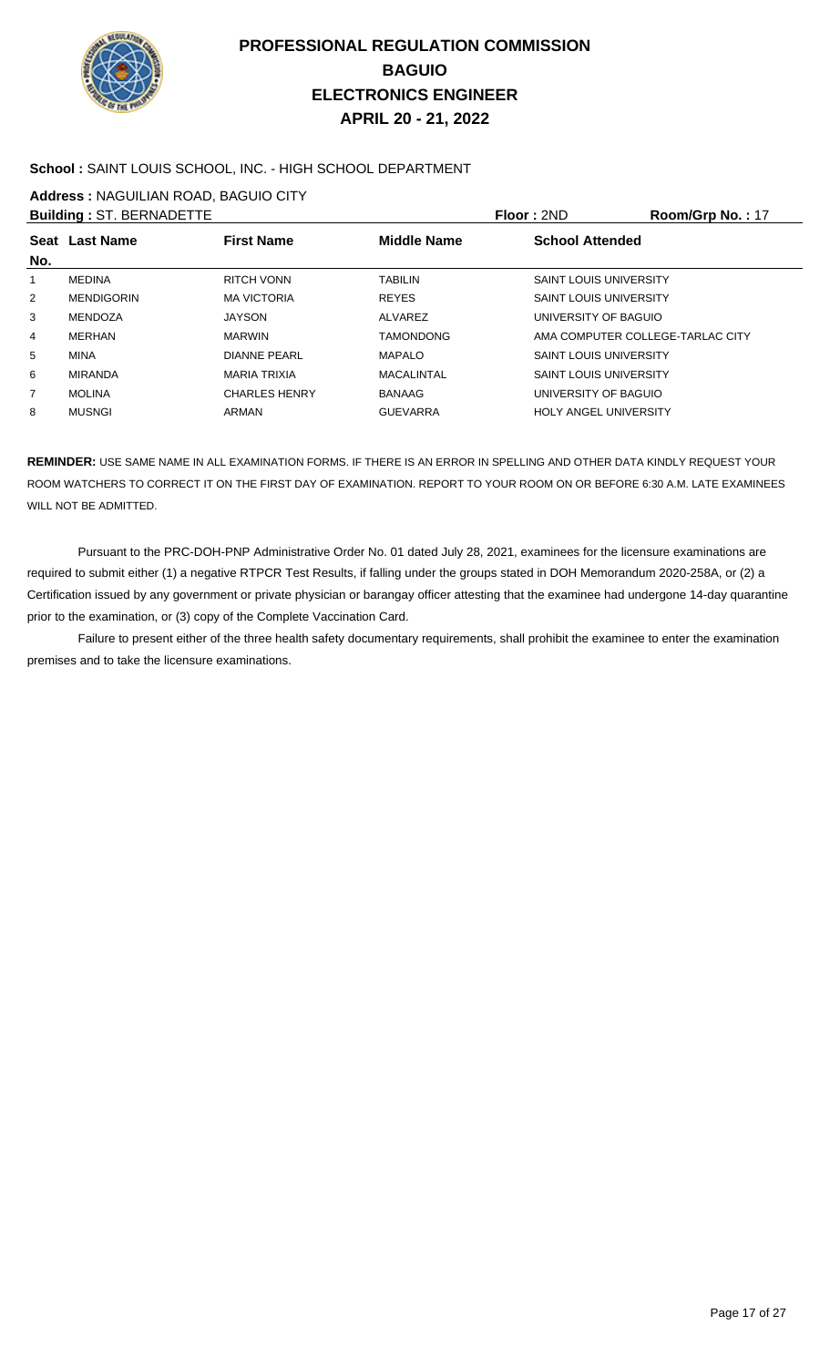

### **School :** SAINT LOUIS SCHOOL, INC. - HIGH SCHOOL DEPARTMENT

**Address :** NAGUILIAN ROAD, BAGUIO CITY

|                | <b>Building: ST. BERNADETTE</b> |                      |                    | Floor: 2ND                       | Room/Grp No.: 17 |
|----------------|---------------------------------|----------------------|--------------------|----------------------------------|------------------|
| No.            | Seat Last Name                  | <b>First Name</b>    | <b>Middle Name</b> | <b>School Attended</b>           |                  |
| 1              | <b>MEDINA</b>                   | RITCH VONN           | <b>TABILIN</b>     | <b>SAINT LOUIS UNIVERSITY</b>    |                  |
| 2              | <b>MENDIGORIN</b>               | <b>MA VICTORIA</b>   | <b>REYES</b>       | <b>SAINT LOUIS UNIVERSITY</b>    |                  |
| 3              | MENDOZA                         | <b>JAYSON</b>        | ALVAREZ            | UNIVERSITY OF BAGUIO             |                  |
| 4              | <b>MERHAN</b>                   | <b>MARWIN</b>        | <b>TAMONDONG</b>   | AMA COMPUTER COLLEGE-TARLAC CITY |                  |
| 5              | <b>MINA</b>                     | <b>DIANNE PEARL</b>  | <b>MAPALO</b>      | <b>SAINT LOUIS UNIVERSITY</b>    |                  |
| 6              | <b>MIRANDA</b>                  | <b>MARIA TRIXIA</b>  | MACALINTAL         | <b>SAINT LOUIS UNIVERSITY</b>    |                  |
| $\overline{7}$ | <b>MOLINA</b>                   | <b>CHARLES HENRY</b> | BANAAG             | UNIVERSITY OF BAGUIO             |                  |
| 8              | <b>MUSNGI</b>                   | ARMAN                | <b>GUEVARRA</b>    | <b>HOLY ANGEL UNIVERSITY</b>     |                  |

**REMINDER:** USE SAME NAME IN ALL EXAMINATION FORMS. IF THERE IS AN ERROR IN SPELLING AND OTHER DATA KINDLY REQUEST YOUR ROOM WATCHERS TO CORRECT IT ON THE FIRST DAY OF EXAMINATION. REPORT TO YOUR ROOM ON OR BEFORE 6:30 A.M. LATE EXAMINEES WILL NOT BE ADMITTED.

 Pursuant to the PRC-DOH-PNP Administrative Order No. 01 dated July 28, 2021, examinees for the licensure examinations are required to submit either (1) a negative RTPCR Test Results, if falling under the groups stated in DOH Memorandum 2020-258A, or (2) a Certification issued by any government or private physician or barangay officer attesting that the examinee had undergone 14-day quarantine prior to the examination, or (3) copy of the Complete Vaccination Card.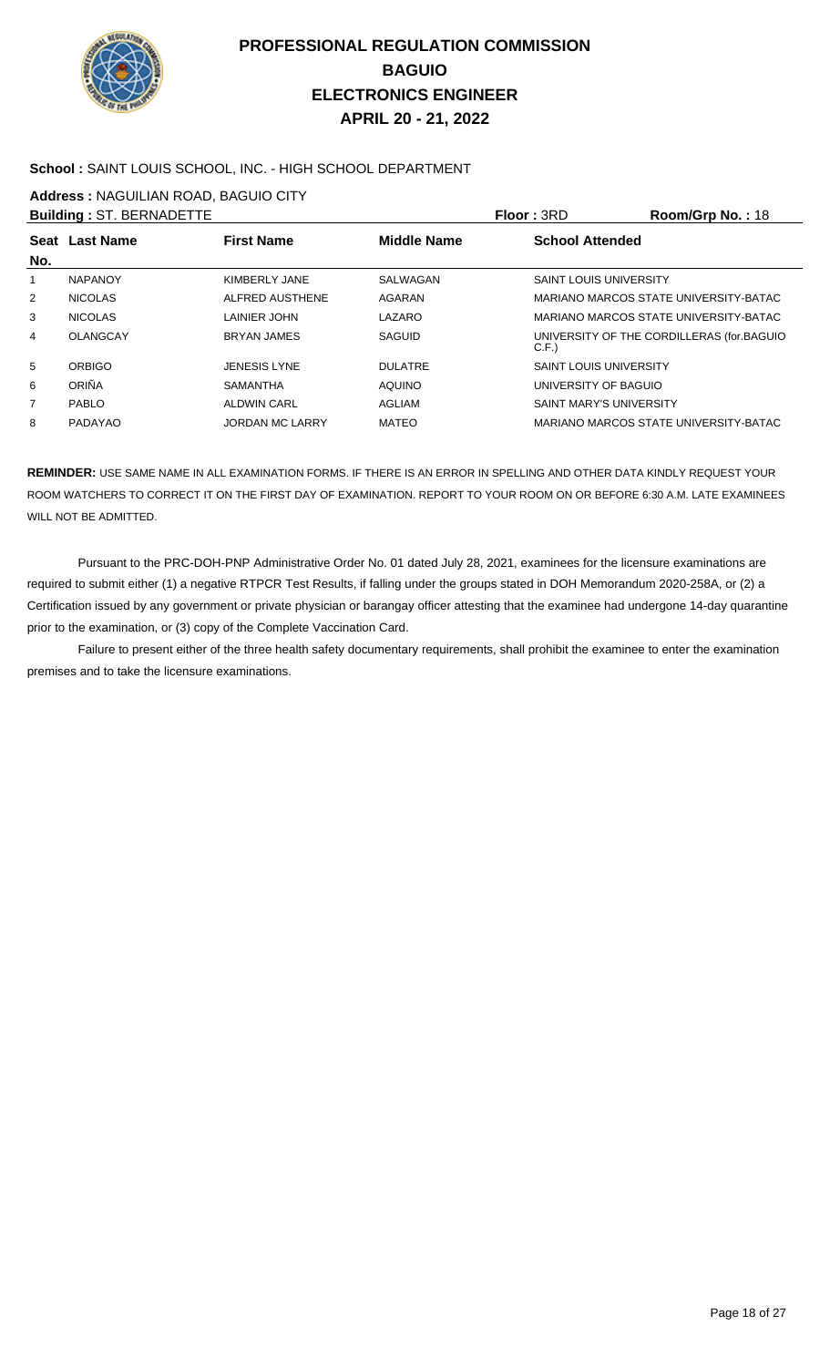

### **School :** SAINT LOUIS SCHOOL, INC. - HIGH SCHOOL DEPARTMENT

**Address :** NAGUILIAN ROAD, BAGUIO CITY

|                | <b>Building: ST. BERNADETTE</b> |                        |                | Floor: 3RD                     | <b>Room/Grp No.: 18</b>                   |
|----------------|---------------------------------|------------------------|----------------|--------------------------------|-------------------------------------------|
| No.            | Seat Last Name                  | <b>First Name</b>      | Middle Name    | <b>School Attended</b>         |                                           |
| 1              | <b>NAPANOY</b>                  | KIMBERLY JANE          | SALWAGAN       | <b>SAINT LOUIS UNIVERSITY</b>  |                                           |
| 2              | <b>NICOLAS</b>                  | ALFRED AUSTHENE        | AGARAN         |                                | MARIANO MARCOS STATE UNIVERSITY-BATAC     |
| 3              | <b>NICOLAS</b>                  | LAINIER JOHN           | LAZARO         |                                | MARIANO MARCOS STATE UNIVERSITY-BATAC     |
| 4              | <b>OLANGCAY</b>                 | <b>BRYAN JAMES</b>     | SAGUID         | C.F.                           | UNIVERSITY OF THE CORDILLERAS (for BAGUIO |
| 5              | <b>ORBIGO</b>                   | <b>JENESIS LYNE</b>    | <b>DULATRE</b> | <b>SAINT LOUIS UNIVERSITY</b>  |                                           |
| 6              | ORIÑA                           | <b>SAMANTHA</b>        | <b>AQUINO</b>  | UNIVERSITY OF BAGUIO           |                                           |
| $\overline{7}$ | PABLO                           | <b>ALDWIN CARL</b>     | AGLIAM         | <b>SAINT MARY'S UNIVERSITY</b> |                                           |
| 8              | PADAYAO                         | <b>JORDAN MC LARRY</b> | <b>MATEO</b>   |                                | MARIANO MARCOS STATE UNIVERSITY-BATAC     |

**REMINDER:** USE SAME NAME IN ALL EXAMINATION FORMS. IF THERE IS AN ERROR IN SPELLING AND OTHER DATA KINDLY REQUEST YOUR ROOM WATCHERS TO CORRECT IT ON THE FIRST DAY OF EXAMINATION. REPORT TO YOUR ROOM ON OR BEFORE 6:30 A.M. LATE EXAMINEES WILL NOT BE ADMITTED.

 Pursuant to the PRC-DOH-PNP Administrative Order No. 01 dated July 28, 2021, examinees for the licensure examinations are required to submit either (1) a negative RTPCR Test Results, if falling under the groups stated in DOH Memorandum 2020-258A, or (2) a Certification issued by any government or private physician or barangay officer attesting that the examinee had undergone 14-day quarantine prior to the examination, or (3) copy of the Complete Vaccination Card.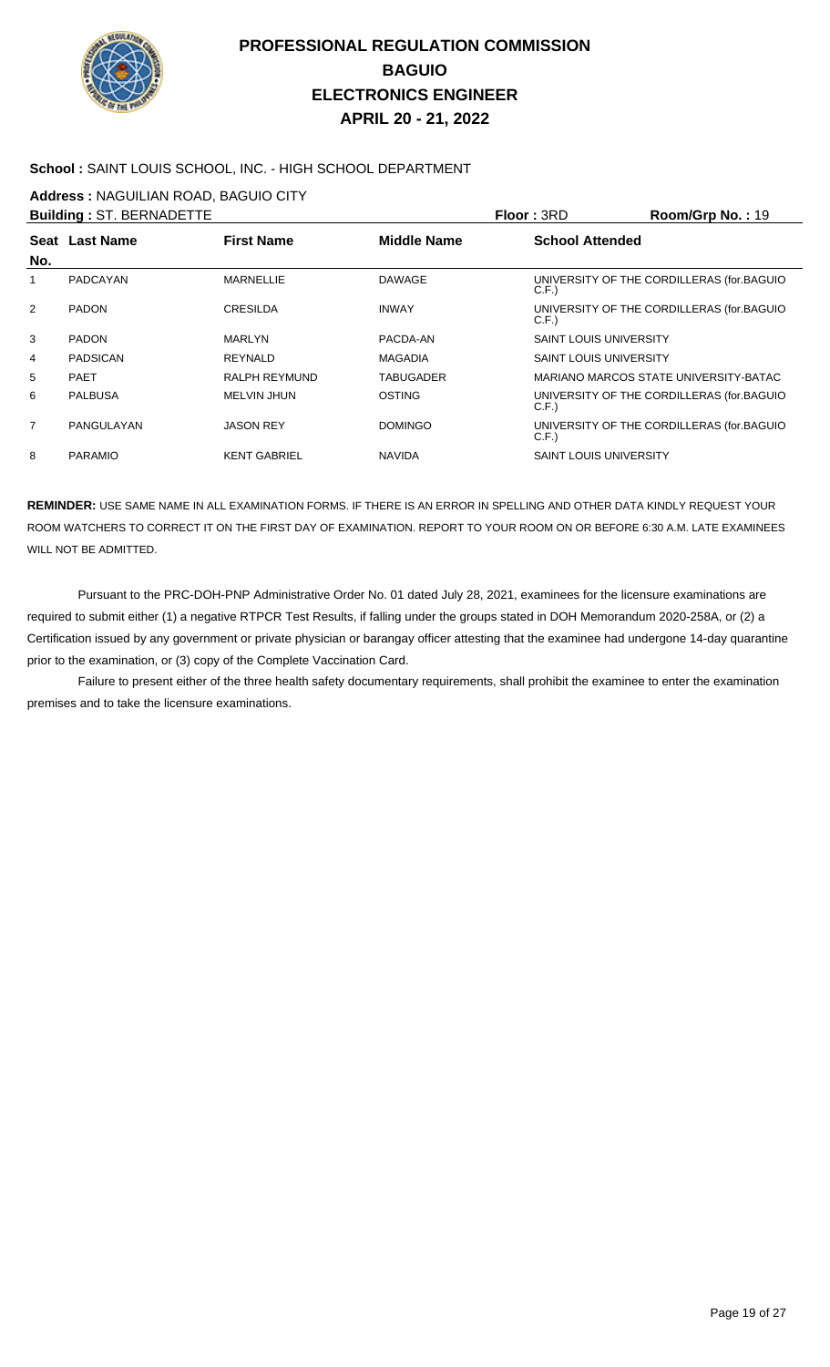

### **School :** SAINT LOUIS SCHOOL, INC. - HIGH SCHOOL DEPARTMENT

**Address :** NAGUILIAN ROAD, BAGUIO CITY

|                | <b>Building: ST. BERNADETTE</b> |                     |                    | Floor: 3RD                    | Room/Grp No.: 19                          |
|----------------|---------------------------------|---------------------|--------------------|-------------------------------|-------------------------------------------|
| No.            | Seat Last Name                  | <b>First Name</b>   | <b>Middle Name</b> | <b>School Attended</b>        |                                           |
| 1              | PADCAYAN                        | <b>MARNELLIE</b>    | <b>DAWAGE</b>      | C.F.                          | UNIVERSITY OF THE CORDILLERAS (for.BAGUIO |
| $\overline{2}$ | <b>PADON</b>                    | <b>CRESILDA</b>     | <b>INWAY</b>       | C.F.                          | UNIVERSITY OF THE CORDILLERAS (for.BAGUIO |
| 3              | <b>PADON</b>                    | <b>MARLYN</b>       | PACDA-AN           | <b>SAINT LOUIS UNIVERSITY</b> |                                           |
| 4              | <b>PADSICAN</b>                 | REYNALD             | <b>MAGADIA</b>     | <b>SAINT LOUIS UNIVERSITY</b> |                                           |
| 5              | <b>PAET</b>                     | RALPH REYMUND       | TABUGADER          |                               | MARIANO MARCOS STATE UNIVERSITY-BATAC     |
| 6              | <b>PALBUSA</b>                  | MELVIN JHUN         | <b>OSTING</b>      | C.F.                          | UNIVERSITY OF THE CORDILLERAS (for.BAGUIO |
| $\overline{7}$ | PANGULAYAN                      | <b>JASON REY</b>    | <b>DOMINGO</b>     | C.F.                          | UNIVERSITY OF THE CORDILLERAS (for BAGUIO |
| 8              | <b>PARAMIO</b>                  | <b>KENT GABRIEL</b> | <b>NAVIDA</b>      | <b>SAINT LOUIS UNIVERSITY</b> |                                           |
|                |                                 |                     |                    |                               |                                           |

**REMINDER:** USE SAME NAME IN ALL EXAMINATION FORMS. IF THERE IS AN ERROR IN SPELLING AND OTHER DATA KINDLY REQUEST YOUR ROOM WATCHERS TO CORRECT IT ON THE FIRST DAY OF EXAMINATION. REPORT TO YOUR ROOM ON OR BEFORE 6:30 A.M. LATE EXAMINEES WILL NOT BE ADMITTED.

 Pursuant to the PRC-DOH-PNP Administrative Order No. 01 dated July 28, 2021, examinees for the licensure examinations are required to submit either (1) a negative RTPCR Test Results, if falling under the groups stated in DOH Memorandum 2020-258A, or (2) a Certification issued by any government or private physician or barangay officer attesting that the examinee had undergone 14-day quarantine prior to the examination, or (3) copy of the Complete Vaccination Card.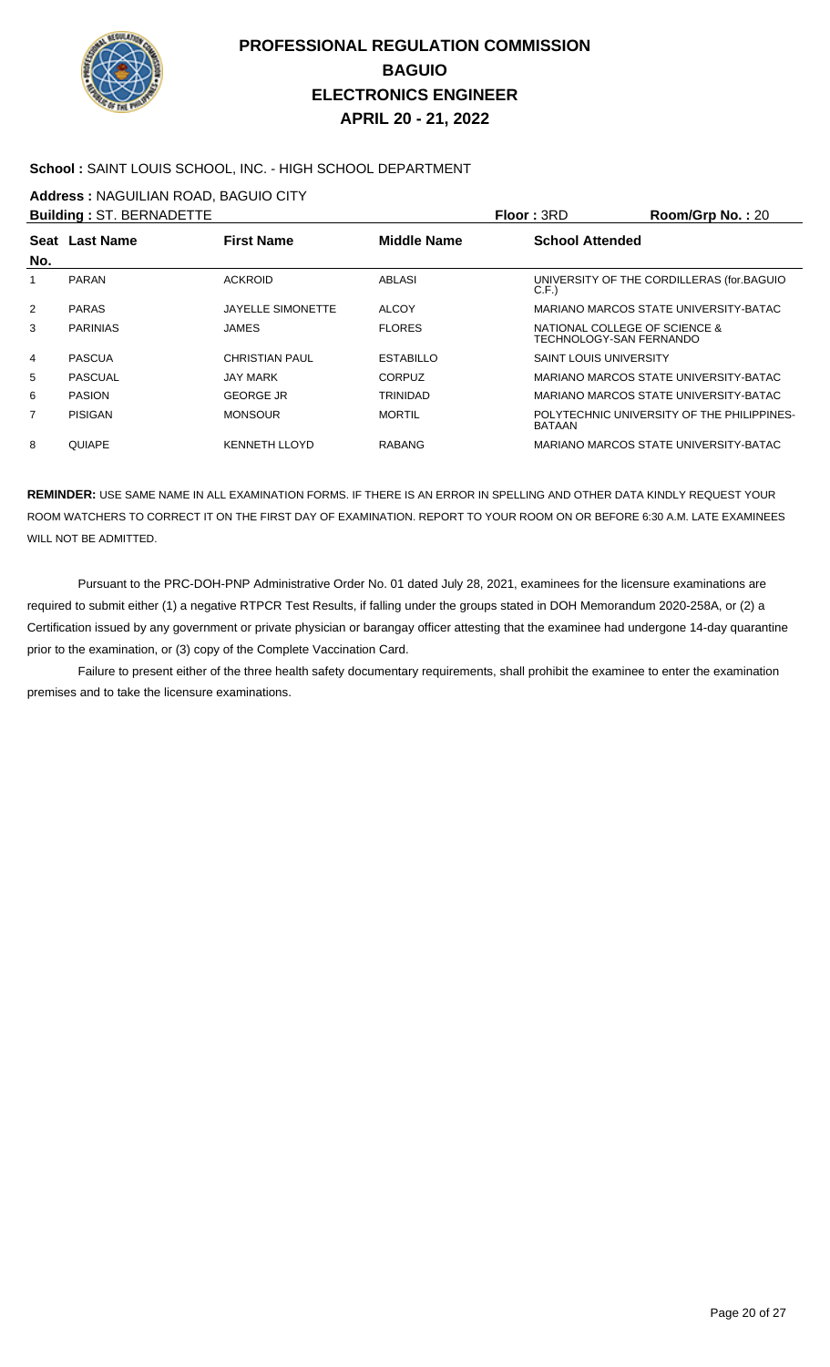

### **School :** SAINT LOUIS SCHOOL, INC. - HIGH SCHOOL DEPARTMENT

**Address :** NAGUILIAN ROAD, BAGUIO CITY

|                | <b>Building: ST. BERNADETTE</b> |                          |                  | Floor: 3RD                                               | $Room/Grp$ No.: 20                         |
|----------------|---------------------------------|--------------------------|------------------|----------------------------------------------------------|--------------------------------------------|
| No.            | Seat Last Name                  | <b>First Name</b>        | Middle Name      | <b>School Attended</b>                                   |                                            |
|                | <b>PARAN</b>                    | <b>ACKROID</b>           | <b>ABLASI</b>    | C.F.                                                     | UNIVERSITY OF THE CORDILLERAS (for BAGUIO  |
| 2              | <b>PARAS</b>                    | <b>JAYELLE SIMONETTE</b> | <b>ALCOY</b>     |                                                          | MARIANO MARCOS STATE UNIVERSITY-BATAC      |
| 3              | <b>PARINIAS</b>                 | JAMES                    | <b>FLORES</b>    | NATIONAL COLLEGE OF SCIENCE &<br>TECHNOLOGY-SAN FERNANDO |                                            |
| $\overline{4}$ | <b>PASCUA</b>                   | <b>CHRISTIAN PAUL</b>    | <b>ESTABILLO</b> | <b>SAINT LOUIS UNIVERSITY</b>                            |                                            |
| 5              | <b>PASCUAL</b>                  | <b>JAY MARK</b>          | <b>CORPUZ</b>    |                                                          | MARIANO MARCOS STATE UNIVERSITY-BATAC      |
| 6              | <b>PASION</b>                   | <b>GEORGE JR</b>         | <b>TRINIDAD</b>  |                                                          | MARIANO MARCOS STATE UNIVERSITY-BATAC      |
| 7              | PISIGAN                         | <b>MONSOUR</b>           | <b>MORTIL</b>    | <b>BATAAN</b>                                            | POLYTECHNIC UNIVERSITY OF THE PHILIPPINES- |
| 8              | <b>QUIAPE</b>                   | <b>KENNETH LLOYD</b>     | <b>RABANG</b>    |                                                          | MARIANO MARCOS STATE UNIVERSITY-BATAC      |

**REMINDER:** USE SAME NAME IN ALL EXAMINATION FORMS. IF THERE IS AN ERROR IN SPELLING AND OTHER DATA KINDLY REQUEST YOUR ROOM WATCHERS TO CORRECT IT ON THE FIRST DAY OF EXAMINATION. REPORT TO YOUR ROOM ON OR BEFORE 6:30 A.M. LATE EXAMINEES WILL NOT BE ADMITTED.

 Pursuant to the PRC-DOH-PNP Administrative Order No. 01 dated July 28, 2021, examinees for the licensure examinations are required to submit either (1) a negative RTPCR Test Results, if falling under the groups stated in DOH Memorandum 2020-258A, or (2) a Certification issued by any government or private physician or barangay officer attesting that the examinee had undergone 14-day quarantine prior to the examination, or (3) copy of the Complete Vaccination Card.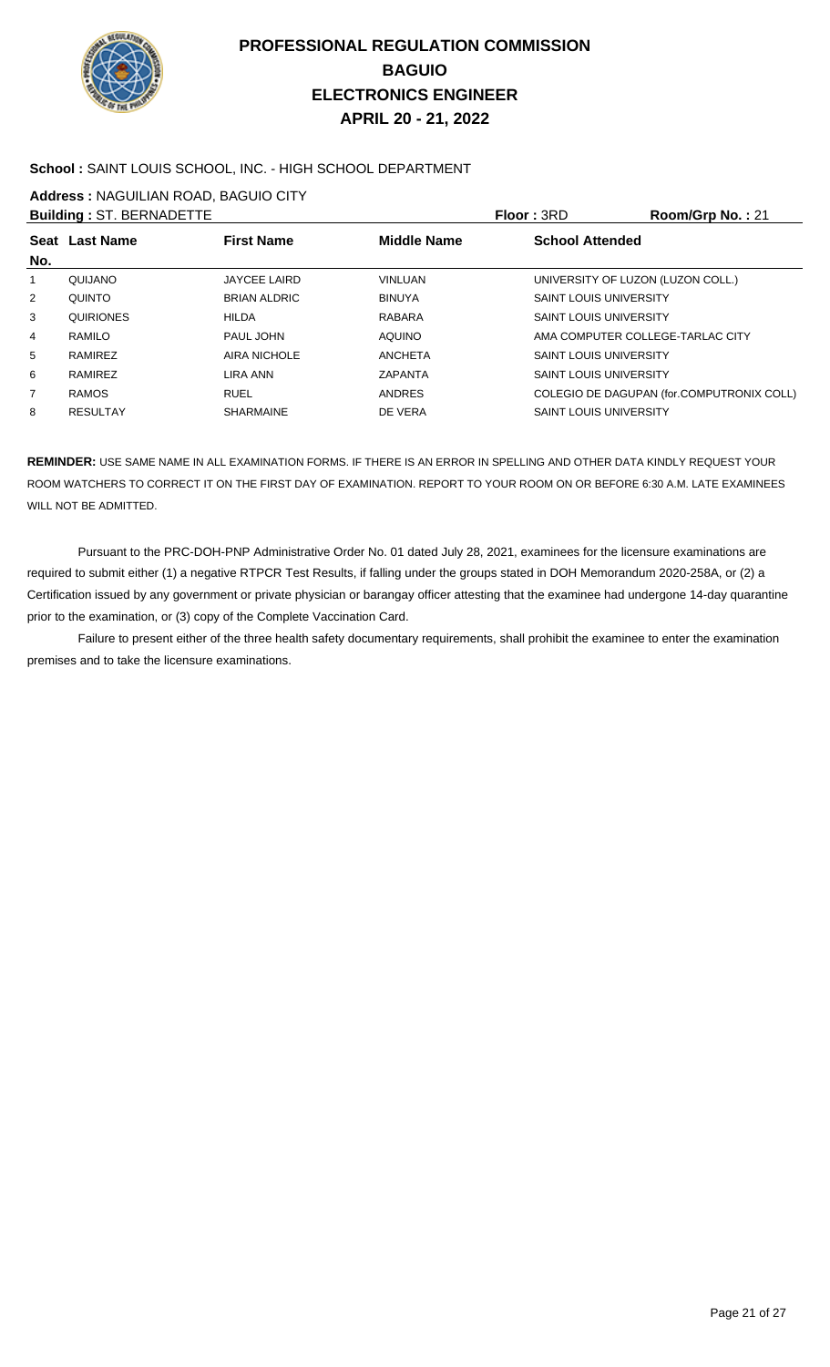

### **School :** SAINT LOUIS SCHOOL, INC. - HIGH SCHOOL DEPARTMENT

**Address :** NAGUILIAN ROAD, BAGUIO CITY

|                | <b>Building: ST. BERNADETTE</b> |                     |                    | <b>Floor: 3RD</b>                 | Room/Grp No.: 21                          |
|----------------|---------------------------------|---------------------|--------------------|-----------------------------------|-------------------------------------------|
|                | Seat Last Name                  | <b>First Name</b>   | <b>Middle Name</b> | <b>School Attended</b>            |                                           |
| No.            |                                 |                     |                    |                                   |                                           |
| 1              | QUIJANO                         | <b>JAYCEE LAIRD</b> | <b>VINLUAN</b>     | UNIVERSITY OF LUZON (LUZON COLL.) |                                           |
| 2              | <b>QUINTO</b>                   | <b>BRIAN ALDRIC</b> | <b>BINUYA</b>      | <b>SAINT LOUIS UNIVERSITY</b>     |                                           |
| 3              | QUIRIONES                       | <b>HILDA</b>        | RABARA             | <b>SAINT LOUIS UNIVERSITY</b>     |                                           |
| $\overline{4}$ | RAMILO                          | PAUL JOHN           | <b>AQUINO</b>      | AMA COMPUTER COLLEGE-TARLAC CITY  |                                           |
| 5              | RAMIREZ                         | AIRA NICHOLE        | <b>ANCHETA</b>     | <b>SAINT LOUIS UNIVERSITY</b>     |                                           |
| 6              | RAMIREZ                         | LIRA ANN            | ZAPANTA            | <b>SAINT LOUIS UNIVERSITY</b>     |                                           |
| $\overline{7}$ | <b>RAMOS</b>                    | <b>RUEL</b>         | <b>ANDRES</b>      |                                   | COLEGIO DE DAGUPAN (for.COMPUTRONIX COLL) |
| 8              | <b>RESULTAY</b>                 | <b>SHARMAINE</b>    | DE VERA            | <b>SAINT LOUIS UNIVERSITY</b>     |                                           |
|                |                                 |                     |                    |                                   |                                           |

**REMINDER:** USE SAME NAME IN ALL EXAMINATION FORMS. IF THERE IS AN ERROR IN SPELLING AND OTHER DATA KINDLY REQUEST YOUR ROOM WATCHERS TO CORRECT IT ON THE FIRST DAY OF EXAMINATION. REPORT TO YOUR ROOM ON OR BEFORE 6:30 A.M. LATE EXAMINEES WILL NOT BE ADMITTED.

 Pursuant to the PRC-DOH-PNP Administrative Order No. 01 dated July 28, 2021, examinees for the licensure examinations are required to submit either (1) a negative RTPCR Test Results, if falling under the groups stated in DOH Memorandum 2020-258A, or (2) a Certification issued by any government or private physician or barangay officer attesting that the examinee had undergone 14-day quarantine prior to the examination, or (3) copy of the Complete Vaccination Card.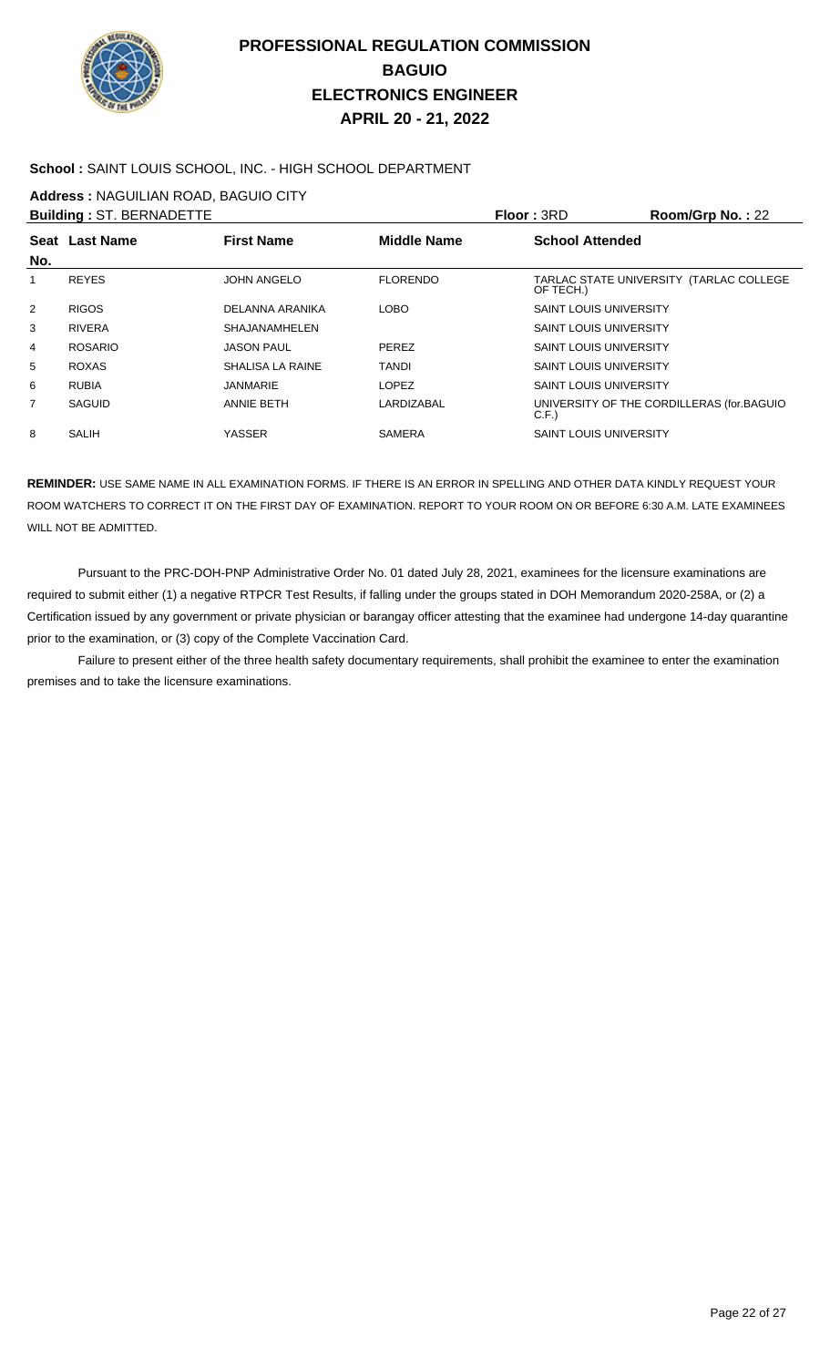

### **School :** SAINT LOUIS SCHOOL, INC. - HIGH SCHOOL DEPARTMENT

**Address :** NAGUILIAN ROAD, BAGUIO CITY

|     | <b>Building: ST. BERNADETTE</b> |                      |                    | <b>Floor: 3RD</b>             | Room/Grp No.: 22                          |
|-----|---------------------------------|----------------------|--------------------|-------------------------------|-------------------------------------------|
| No. | Seat Last Name                  | <b>First Name</b>    | <b>Middle Name</b> | <b>School Attended</b>        |                                           |
| 1   | <b>REYES</b>                    | <b>JOHN ANGELO</b>   | <b>FLORENDO</b>    | OF TECH.)                     | TARLAC STATE UNIVERSITY (TARLAC COLLEGE   |
| 2   | <b>RIGOS</b>                    | DELANNA ARANIKA      | <b>LOBO</b>        | <b>SAINT LOUIS UNIVERSITY</b> |                                           |
| 3   | <b>RIVERA</b>                   | <b>SHAJANAMHELEN</b> |                    | <b>SAINT LOUIS UNIVERSITY</b> |                                           |
| 4   | <b>ROSARIO</b>                  | <b>JASON PAUL</b>    | <b>PEREZ</b>       | <b>SAINT LOUIS UNIVERSITY</b> |                                           |
| 5   | <b>ROXAS</b>                    | SHALISA LA RAINE     | <b>TANDI</b>       | <b>SAINT LOUIS UNIVERSITY</b> |                                           |
| 6   | <b>RUBIA</b>                    | <b>JANMARIE</b>      | <b>LOPEZ</b>       | <b>SAINT LOUIS UNIVERSITY</b> |                                           |
| 7   | SAGUID                          | <b>ANNIE BETH</b>    | LARDIZABAL         | C.F.                          | UNIVERSITY OF THE CORDILLERAS (for BAGUIO |
| 8   | <b>SALIH</b>                    | YASSER               | SAMERA             | <b>SAINT LOUIS UNIVERSITY</b> |                                           |
|     |                                 |                      |                    |                               |                                           |

**REMINDER:** USE SAME NAME IN ALL EXAMINATION FORMS. IF THERE IS AN ERROR IN SPELLING AND OTHER DATA KINDLY REQUEST YOUR ROOM WATCHERS TO CORRECT IT ON THE FIRST DAY OF EXAMINATION. REPORT TO YOUR ROOM ON OR BEFORE 6:30 A.M. LATE EXAMINEES WILL NOT BE ADMITTED.

 Pursuant to the PRC-DOH-PNP Administrative Order No. 01 dated July 28, 2021, examinees for the licensure examinations are required to submit either (1) a negative RTPCR Test Results, if falling under the groups stated in DOH Memorandum 2020-258A, or (2) a Certification issued by any government or private physician or barangay officer attesting that the examinee had undergone 14-day quarantine prior to the examination, or (3) copy of the Complete Vaccination Card.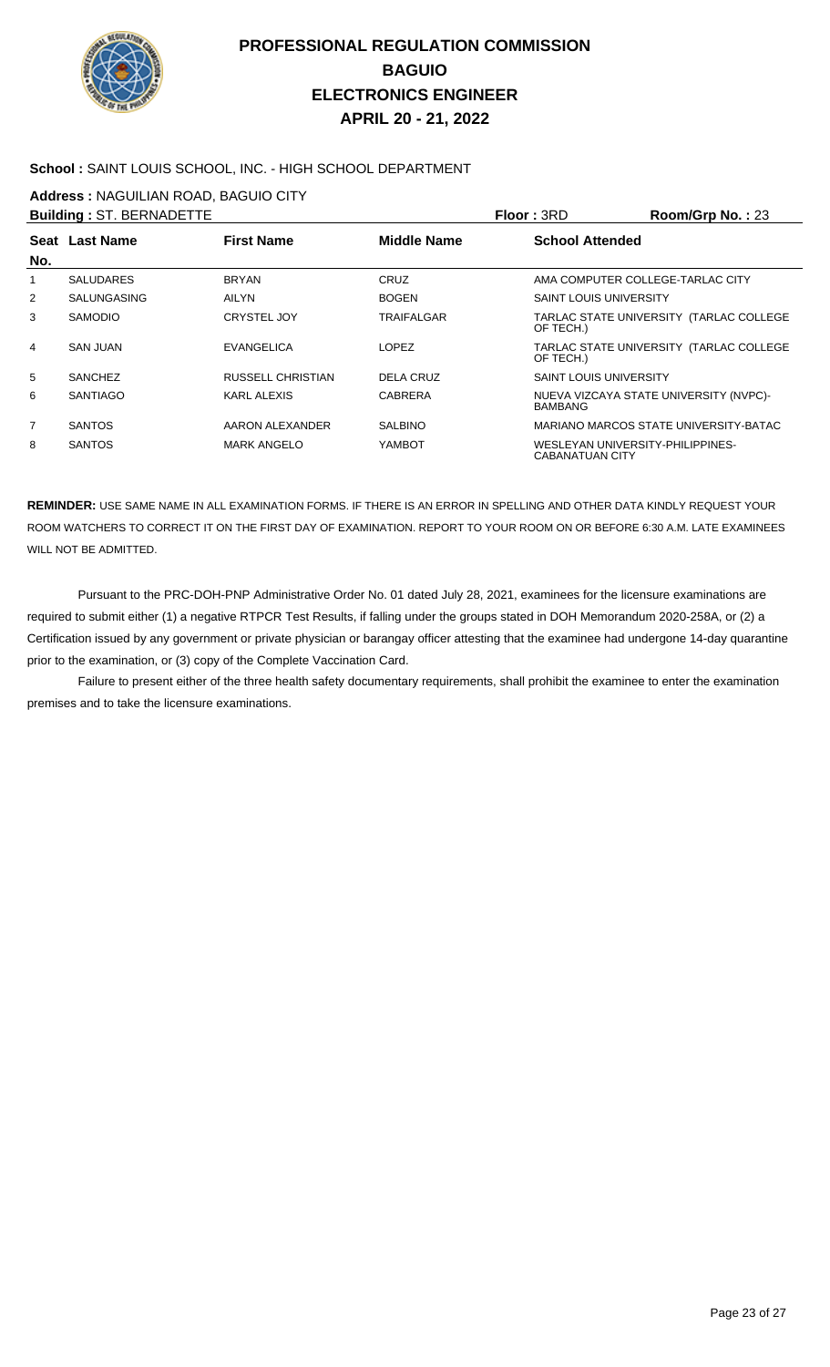

### **School :** SAINT LOUIS SCHOOL, INC. - HIGH SCHOOL DEPARTMENT

**Address :** NAGUILIAN ROAD, BAGUIO CITY

|                | <b>Building: ST. BERNADETTE</b> |                          |                    | <b>Floor: 3RD</b>             | Room/Grp No.: 23                        |
|----------------|---------------------------------|--------------------------|--------------------|-------------------------------|-----------------------------------------|
|                | Seat Last Name                  | <b>First Name</b>        | <b>Middle Name</b> | <b>School Attended</b>        |                                         |
| No.            |                                 |                          |                    |                               |                                         |
| 1              | <b>SALUDARES</b>                | <b>BRYAN</b>             | CRUZ               |                               | AMA COMPUTER COLLEGE-TARLAC CITY        |
| 2              | SALUNGASING                     | <b>AILYN</b>             | <b>BOGEN</b>       | <b>SAINT LOUIS UNIVERSITY</b> |                                         |
| 3              | <b>SAMODIO</b>                  | <b>CRYSTEL JOY</b>       | <b>TRAIFALGAR</b>  | OF TECH.)                     | TARLAC STATE UNIVERSITY (TARLAC COLLEGE |
| $\overline{4}$ | <b>SAN JUAN</b>                 | EVANGELICA               | <b>LOPEZ</b>       | OF TECH.)                     | TARLAC STATE UNIVERSITY (TARLAC COLLEGE |
| 5              | <b>SANCHEZ</b>                  | <b>RUSSELL CHRISTIAN</b> | DELA CRUZ          | <b>SAINT LOUIS UNIVERSITY</b> |                                         |
| 6              | <b>SANTIAGO</b>                 | KARL ALEXIS              | <b>CABRERA</b>     | BAMBANG                       | NUEVA VIZCAYA STATE UNIVERSITY (NVPC)-  |
| $\overline{7}$ | <b>SANTOS</b>                   | AARON ALEXANDER          | <b>SALBINO</b>     |                               | MARIANO MARCOS STATE UNIVERSITY-BATAC   |
| 8              | <b>SANTOS</b>                   | <b>MARK ANGELO</b>       | YAMBOT             | <b>CABANATUAN CITY</b>        | WESLEYAN UNIVERSITY-PHILIPPINES-        |

**REMINDER:** USE SAME NAME IN ALL EXAMINATION FORMS. IF THERE IS AN ERROR IN SPELLING AND OTHER DATA KINDLY REQUEST YOUR ROOM WATCHERS TO CORRECT IT ON THE FIRST DAY OF EXAMINATION. REPORT TO YOUR ROOM ON OR BEFORE 6:30 A.M. LATE EXAMINEES WILL NOT BE ADMITTED.

 Pursuant to the PRC-DOH-PNP Administrative Order No. 01 dated July 28, 2021, examinees for the licensure examinations are required to submit either (1) a negative RTPCR Test Results, if falling under the groups stated in DOH Memorandum 2020-258A, or (2) a Certification issued by any government or private physician or barangay officer attesting that the examinee had undergone 14-day quarantine prior to the examination, or (3) copy of the Complete Vaccination Card.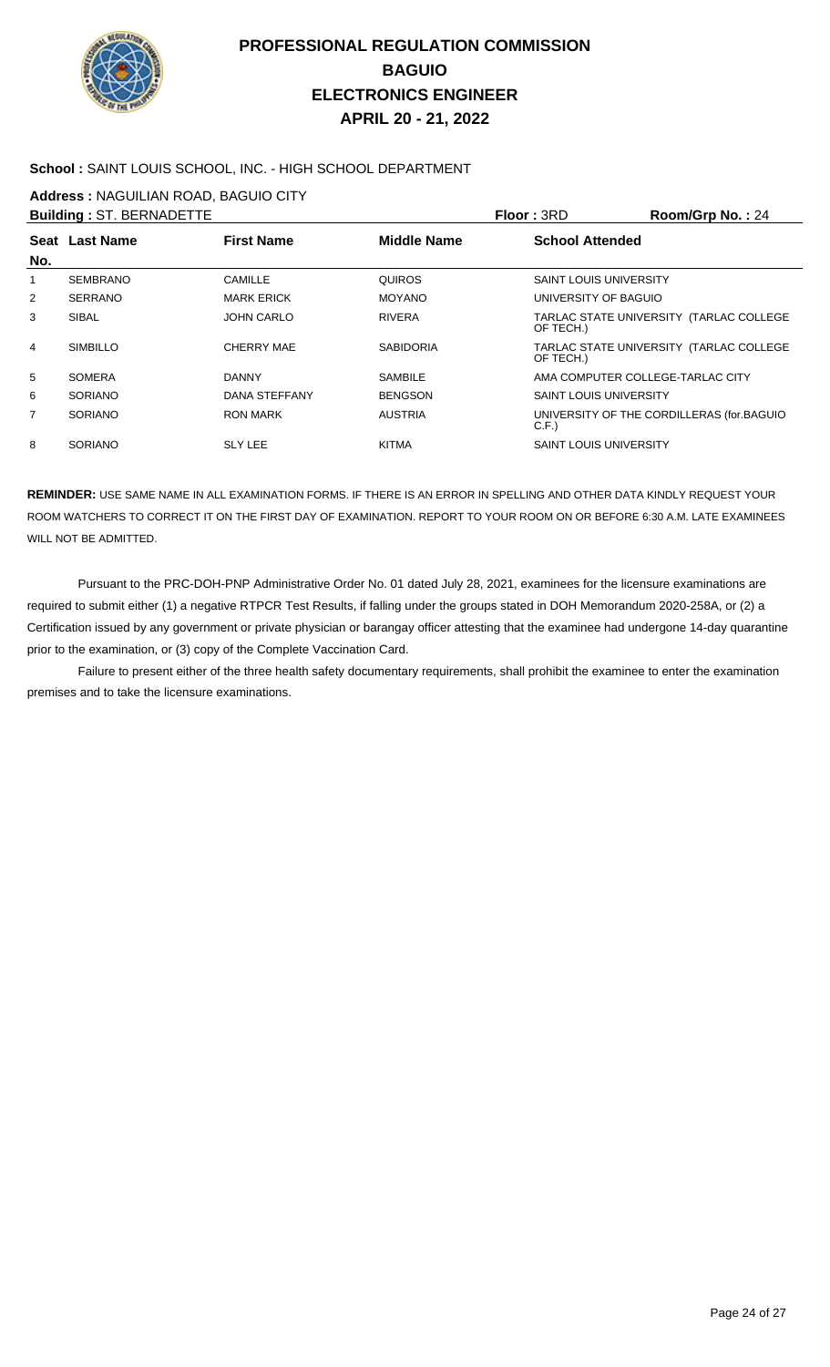

### **School :** SAINT LOUIS SCHOOL, INC. - HIGH SCHOOL DEPARTMENT

**Address :** NAGUILIAN ROAD, BAGUIO CITY

|     | <b>Building: ST. BERNADETTE</b> |                   |                  | Floor: 3RD                       | Room/Grp No.: 24                          |
|-----|---------------------------------|-------------------|------------------|----------------------------------|-------------------------------------------|
|     | Seat Last Name                  | <b>First Name</b> | Middle Name      | <b>School Attended</b>           |                                           |
| No. |                                 |                   |                  |                                  |                                           |
|     | <b>SEMBRANO</b>                 | <b>CAMILLE</b>    | <b>QUIROS</b>    | <b>SAINT LOUIS UNIVERSITY</b>    |                                           |
| 2   | <b>SERRANO</b>                  | <b>MARK ERICK</b> | <b>MOYANO</b>    | UNIVERSITY OF BAGUIO             |                                           |
| 3   | SIBAL                           | <b>JOHN CARLO</b> | <b>RIVERA</b>    | OF TECH.)                        | TARLAC STATE UNIVERSITY (TARLAC COLLEGE   |
| 4   | <b>SIMBILLO</b>                 | CHERRY MAE        | <b>SABIDORIA</b> | OF TECH.)                        | TARLAC STATE UNIVERSITY (TARLAC COLLEGE   |
| 5   | <b>SOMERA</b>                   | <b>DANNY</b>      | <b>SAMBILE</b>   | AMA COMPUTER COLLEGE-TARLAC CITY |                                           |
| 6   | <b>SORIANO</b>                  | DANA STEFFANY     | <b>BENGSON</b>   | <b>SAINT LOUIS UNIVERSITY</b>    |                                           |
| 7   | <b>SORIANO</b>                  | <b>RON MARK</b>   | <b>AUSTRIA</b>   | C.F.                             | UNIVERSITY OF THE CORDILLERAS (for BAGUIO |
| 8   | <b>SORIANO</b>                  | <b>SLY LEE</b>    | <b>KITMA</b>     | SAINT LOUIS UNIVERSITY           |                                           |

**REMINDER:** USE SAME NAME IN ALL EXAMINATION FORMS. IF THERE IS AN ERROR IN SPELLING AND OTHER DATA KINDLY REQUEST YOUR ROOM WATCHERS TO CORRECT IT ON THE FIRST DAY OF EXAMINATION. REPORT TO YOUR ROOM ON OR BEFORE 6:30 A.M. LATE EXAMINEES WILL NOT BE ADMITTED.

 Pursuant to the PRC-DOH-PNP Administrative Order No. 01 dated July 28, 2021, examinees for the licensure examinations are required to submit either (1) a negative RTPCR Test Results, if falling under the groups stated in DOH Memorandum 2020-258A, or (2) a Certification issued by any government or private physician or barangay officer attesting that the examinee had undergone 14-day quarantine prior to the examination, or (3) copy of the Complete Vaccination Card.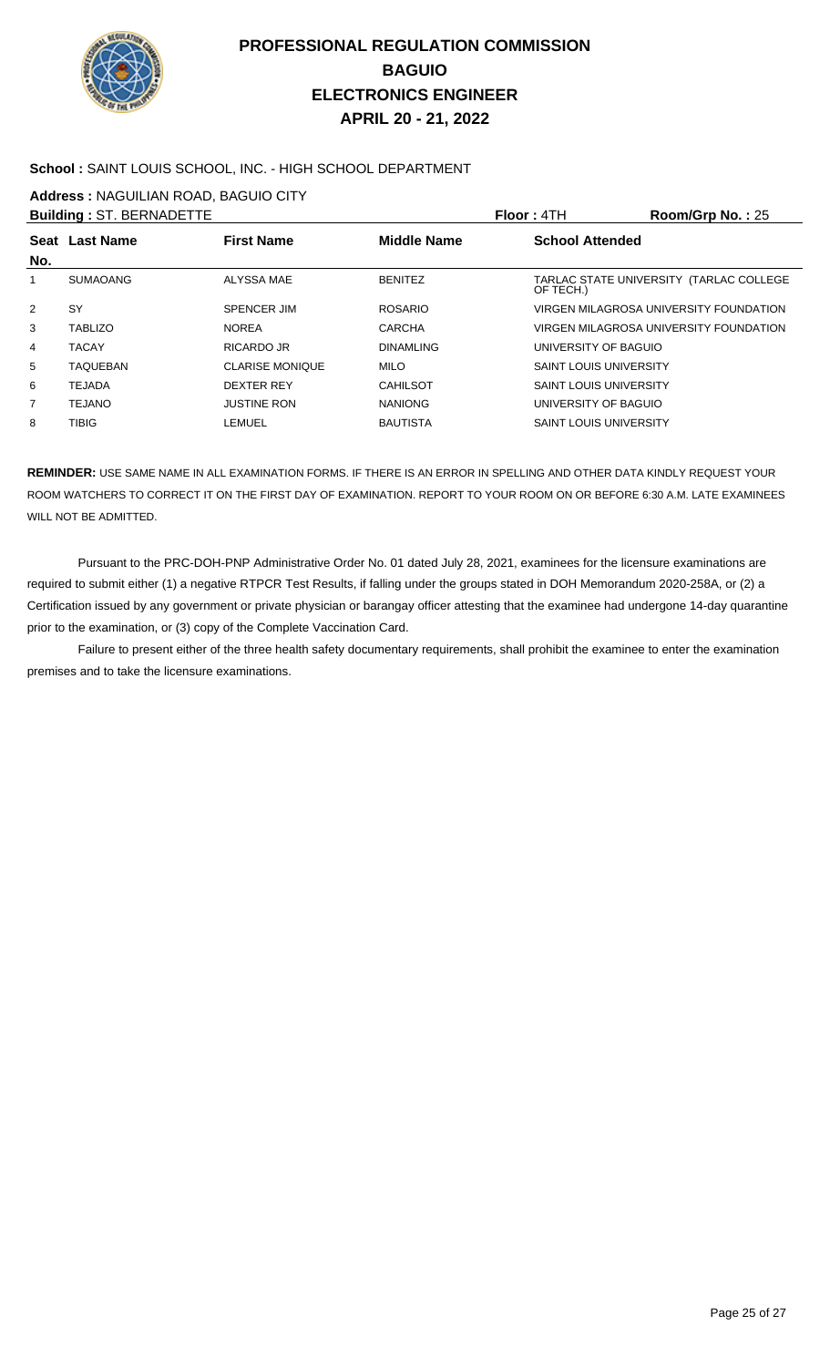

### **School :** SAINT LOUIS SCHOOL, INC. - HIGH SCHOOL DEPARTMENT

**Address :** NAGUILIAN ROAD, BAGUIO CITY

| <b>Building: ST. BERNADETTE</b> |                 |                        |                  | Floor: 4TH                    | Room/Grp No.: 25                        |
|---------------------------------|-----------------|------------------------|------------------|-------------------------------|-----------------------------------------|
| No.                             | Seat Last Name  | <b>First Name</b>      | Middle Name      | <b>School Attended</b>        |                                         |
|                                 | <b>SUMAOANG</b> | ALYSSA MAE             | <b>BENITEZ</b>   | OF TECH.)                     | TARLAC STATE UNIVERSITY (TARLAC COLLEGE |
| 2                               | SY              | <b>SPENCER JIM</b>     | <b>ROSARIO</b>   |                               | VIRGEN MILAGROSA UNIVERSITY FOUNDATION  |
| 3                               | <b>TABLIZO</b>  | <b>NOREA</b>           | <b>CARCHA</b>    |                               | VIRGEN MILAGROSA UNIVERSITY FOUNDATION  |
| 4                               | <b>TACAY</b>    | RICARDO JR             | <b>DINAMLING</b> | UNIVERSITY OF BAGUIO          |                                         |
| 5                               | TAQUEBAN        | <b>CLARISE MONIQUE</b> | <b>MILO</b>      | <b>SAINT LOUIS UNIVERSITY</b> |                                         |
| 6                               | <b>TEJADA</b>   | <b>DEXTER REY</b>      | <b>CAHILSOT</b>  | <b>SAINT LOUIS UNIVERSITY</b> |                                         |
| 7                               | <b>TEJANO</b>   | <b>JUSTINE RON</b>     | <b>NANIONG</b>   | UNIVERSITY OF BAGUIO          |                                         |
| 8                               | <b>TIBIG</b>    | LEMUEL                 | <b>BAUTISTA</b>  | <b>SAINT LOUIS UNIVERSITY</b> |                                         |
|                                 |                 |                        |                  |                               |                                         |

**REMINDER:** USE SAME NAME IN ALL EXAMINATION FORMS. IF THERE IS AN ERROR IN SPELLING AND OTHER DATA KINDLY REQUEST YOUR ROOM WATCHERS TO CORRECT IT ON THE FIRST DAY OF EXAMINATION. REPORT TO YOUR ROOM ON OR BEFORE 6:30 A.M. LATE EXAMINEES WILL NOT BE ADMITTED.

 Pursuant to the PRC-DOH-PNP Administrative Order No. 01 dated July 28, 2021, examinees for the licensure examinations are required to submit either (1) a negative RTPCR Test Results, if falling under the groups stated in DOH Memorandum 2020-258A, or (2) a Certification issued by any government or private physician or barangay officer attesting that the examinee had undergone 14-day quarantine prior to the examination, or (3) copy of the Complete Vaccination Card.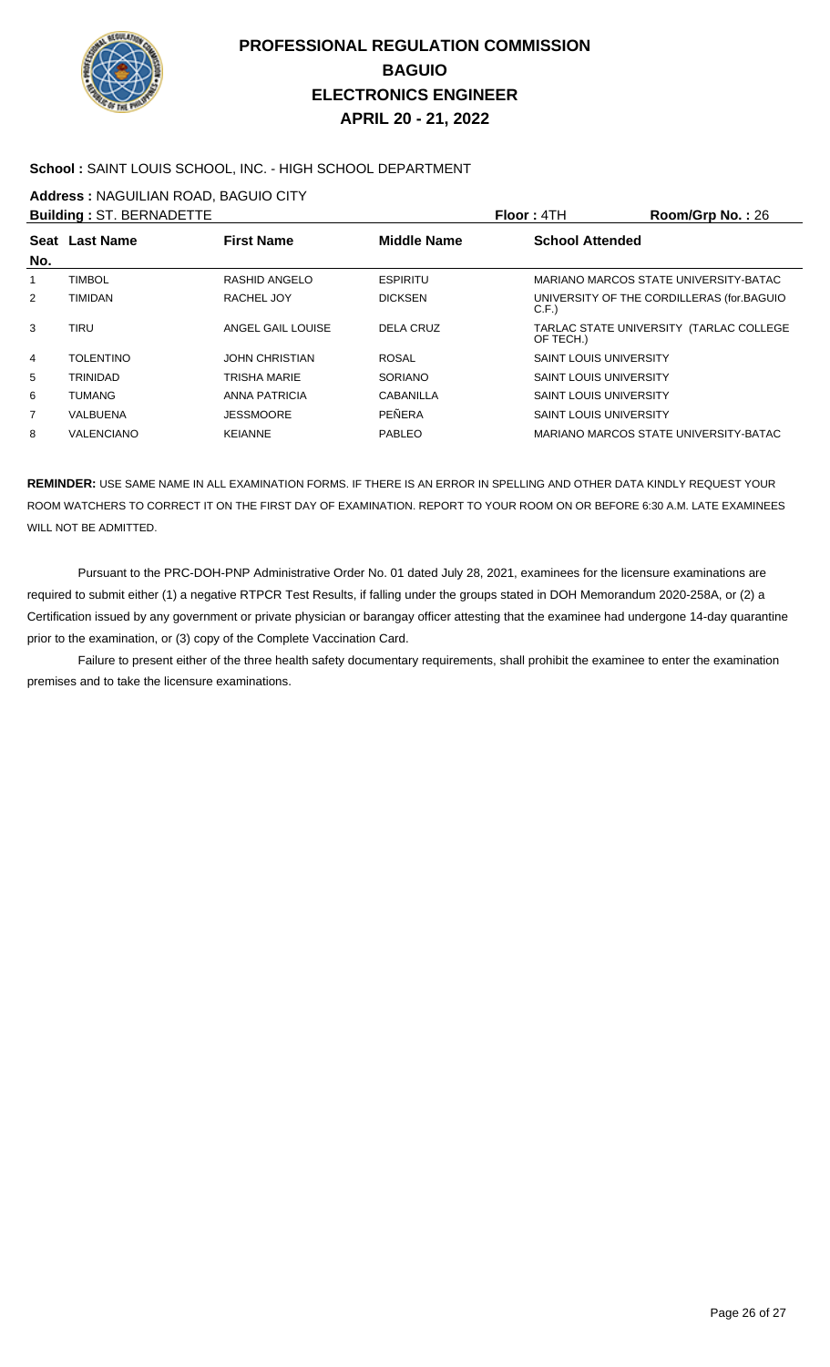

### **School :** SAINT LOUIS SCHOOL, INC. - HIGH SCHOOL DEPARTMENT

**Address :** NAGUILIAN ROAD, BAGUIO CITY

|                | <b>Building: ST. BERNADETTE</b> |                       |                    | Floor: 4TH                    | Room/Grp No.: 26                          |
|----------------|---------------------------------|-----------------------|--------------------|-------------------------------|-------------------------------------------|
| No.            | Seat Last Name                  | <b>First Name</b>     | <b>Middle Name</b> | <b>School Attended</b>        |                                           |
|                | <b>TIMBOL</b>                   | RASHID ANGELO         | <b>ESPIRITU</b>    |                               | MARIANO MARCOS STATE UNIVERSITY-BATAC     |
| $\overline{2}$ | <b>TIMIDAN</b>                  | RACHEL JOY            | <b>DICKSEN</b>     | C.F.                          | UNIVERSITY OF THE CORDILLERAS (for BAGUIO |
| 3              | TIRU                            | ANGEL GAIL LOUISE     | <b>DELA CRUZ</b>   | OF TECH.)                     | TARLAC STATE UNIVERSITY (TARLAC COLLEGE   |
| 4              | <b>TOLENTINO</b>                | <b>JOHN CHRISTIAN</b> | <b>ROSAL</b>       | <b>SAINT LOUIS UNIVERSITY</b> |                                           |
| 5              | <b>TRINIDAD</b>                 | TRISHA MARIE          | SORIANO            | <b>SAINT LOUIS UNIVERSITY</b> |                                           |
| 6              | <b>TUMANG</b>                   | ANNA PATRICIA         | <b>CABANILLA</b>   | <b>SAINT LOUIS UNIVERSITY</b> |                                           |
| 7              | VALBUENA                        | <b>JESSMOORE</b>      | PEÑERA             | <b>SAINT LOUIS UNIVERSITY</b> |                                           |
| 8              | VALENCIANO                      | <b>KEIANNE</b>        | PABLEO             |                               | MARIANO MARCOS STATE UNIVERSITY-BATAC     |

**REMINDER:** USE SAME NAME IN ALL EXAMINATION FORMS. IF THERE IS AN ERROR IN SPELLING AND OTHER DATA KINDLY REQUEST YOUR ROOM WATCHERS TO CORRECT IT ON THE FIRST DAY OF EXAMINATION. REPORT TO YOUR ROOM ON OR BEFORE 6:30 A.M. LATE EXAMINEES WILL NOT BE ADMITTED.

 Pursuant to the PRC-DOH-PNP Administrative Order No. 01 dated July 28, 2021, examinees for the licensure examinations are required to submit either (1) a negative RTPCR Test Results, if falling under the groups stated in DOH Memorandum 2020-258A, or (2) a Certification issued by any government or private physician or barangay officer attesting that the examinee had undergone 14-day quarantine prior to the examination, or (3) copy of the Complete Vaccination Card.